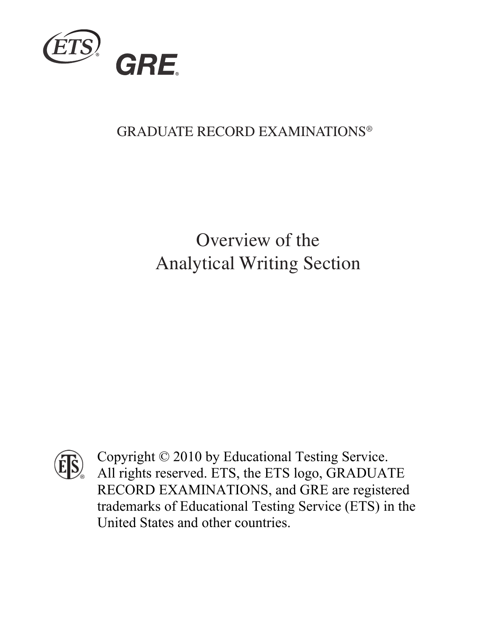

#### GRADUATE RECORD EXAMINATIONS®

### Overview of the Analytical Writing Section



Copyright © 2010 by Educational Testing Service. All rights reserved. ETS, the ETS logo, GRADUATE RECORD EXAMINATIONS, and GRE are registered trademarks of Educational Testing Service (ETS) in the United States and other countries.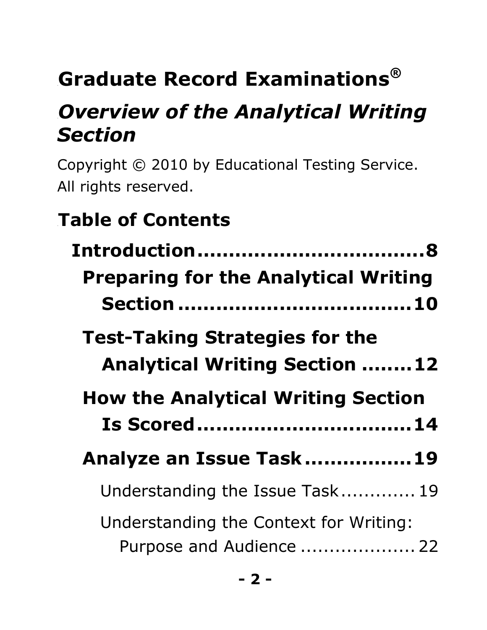# 0B**Graduate Record Examinations***®*

## **Overview of the Analytical Writing** *Section*

Copyright © 2010 by Educational Testing Service. All rights reserved.

## **Table of Contents**

| Introduction                                                                  |
|-------------------------------------------------------------------------------|
| <b>Preparing for the Analytical Writing</b>                                   |
|                                                                               |
| <b>Test-Taking Strategies for the</b><br><b>Analytical Writing Section 12</b> |
| <b>How the Analytical Writing Section</b>                                     |
|                                                                               |
| Is Scored 14                                                                  |
| Analyze an Issue Task19                                                       |
| Understanding the Issue Task 19                                               |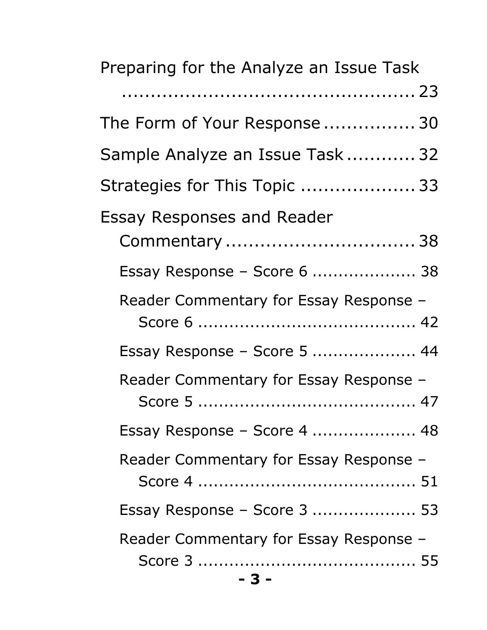| Preparing for the Analyze an Issue Task |
|-----------------------------------------|
|                                         |
| The Form of Your Response 30            |
| Sample Analyze an Issue Task 32         |
| Strategies for This Topic  33           |
| <b>Essay Responses and Reader</b>       |
| Commentary  38                          |
| Essay Response - Score 6  38            |
| Reader Commentary for Essay Response -  |
|                                         |
| Essay Response - Score 5  44            |
| Reader Commentary for Essay Response -  |
|                                         |
| Essay Response – Score 4  48            |
| Reader Commentary for Essay Response -  |
|                                         |
| Essay Response - Score 3  53            |
| Reader Commentary for Essay Response -  |
|                                         |
| - 3 -                                   |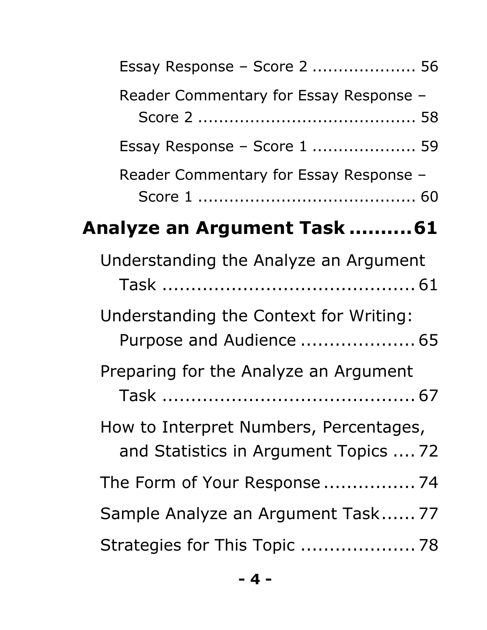| Essay Response - Score 2  56                                                    |  |
|---------------------------------------------------------------------------------|--|
| Reader Commentary for Essay Response -                                          |  |
| Essay Response – Score $1$ 59                                                   |  |
| Reader Commentary for Essay Response -                                          |  |
| <b>Analyze an Argument Task 61</b>                                              |  |
| Understanding the Analyze an Argument                                           |  |
| Understanding the Context for Writing:<br>Purpose and Audience  65              |  |
| Preparing for the Analyze an Argument                                           |  |
| How to Interpret Numbers, Percentages,<br>and Statistics in Argument Topics  72 |  |
|                                                                                 |  |
| Sample Analyze an Argument Task 77                                              |  |
| Strategies for This Topic  78                                                   |  |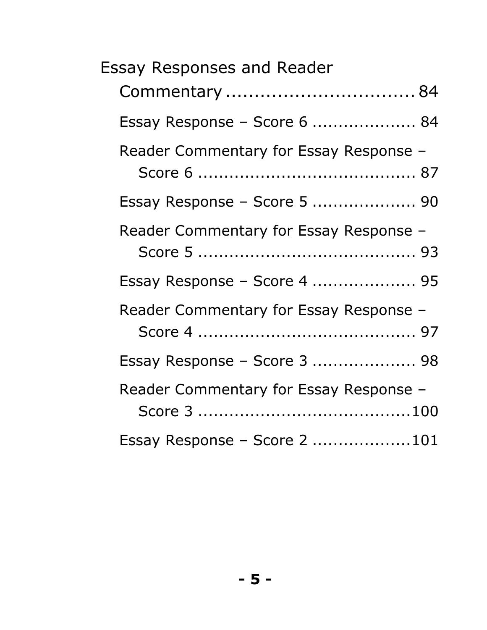| <b>Essay Responses and Reader</b>      |
|----------------------------------------|
| Commentary  84                         |
| Essay Response – Score 6  84           |
| Reader Commentary for Essay Response - |
| Essay Response – Score 5  90           |
| Reader Commentary for Essay Response - |
| Essay Response - Score 4  95           |
| Reader Commentary for Essay Response - |
| Essay Response - Score 3  98           |
| Reader Commentary for Essay Response - |
| Essay Response - Score 2 101           |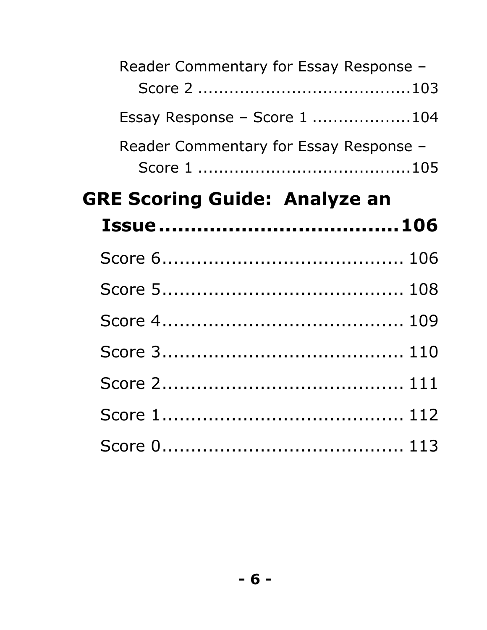| Reader Commentary for Essay Response - |
|----------------------------------------|
| Essay Response - Score 1 104           |
| Reader Commentary for Essay Response - |
| <b>GRE Scoring Guide: Analyze an</b>   |
|                                        |
|                                        |
|                                        |
|                                        |
|                                        |
|                                        |
|                                        |
|                                        |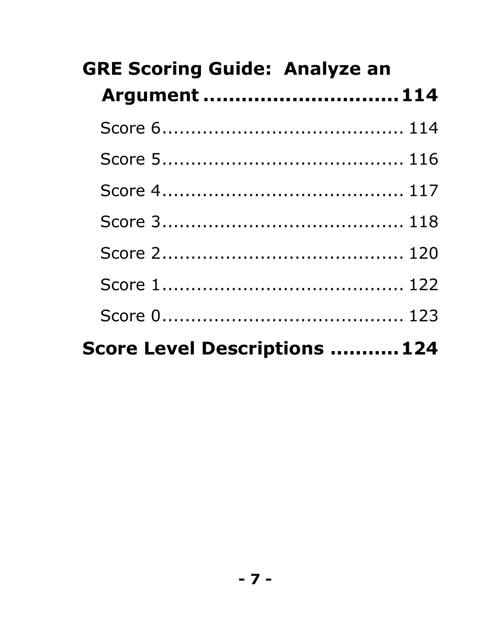| <b>GRE Scoring Guide: Analyze an</b> |
|--------------------------------------|
| Argument  114                        |
|                                      |
|                                      |
|                                      |
|                                      |
|                                      |
|                                      |
|                                      |
| Score Level Descriptions  124        |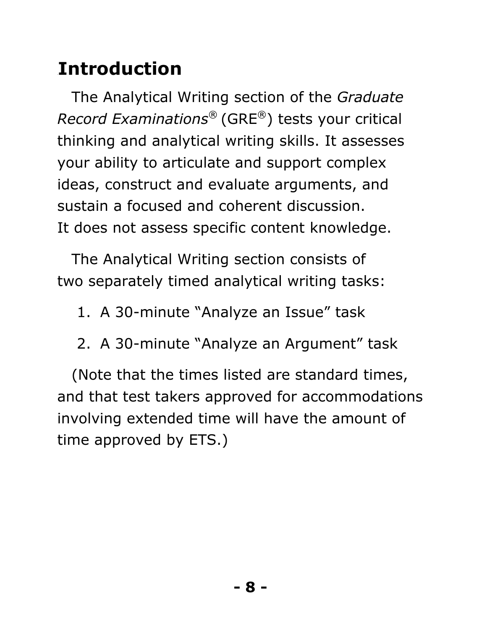## 3B**Introduction**

The Analytical Writing section of the *Graduate Record Examinations*® (GRE®) tests your critical thinking and analytical writing skills. It assesses your ability to articulate and support complex ideas, construct and evaluate arguments, and sustain a focused and coherent discussion. It does not assess specific content knowledge.

The Analytical Writing section consists of two separately timed analytical writing tasks:

- 1. A 30-minute "Analyze an Issue" task
- 2. A 30-minute "Analyze an Argument" task

(Note that the times listed are standard times, and that test takers approved for accommodations involving extended time will have the amount of time approved by ETS.)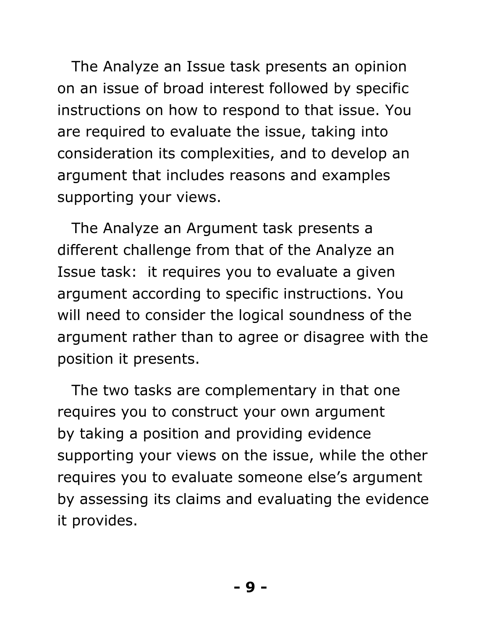The Analyze an Issue task presents an opinion on an issue of broad interest followed by specific instructions on how to respond to that issue. You are required to evaluate the issue, taking into consideration its complexities, and to develop an argument that includes reasons and examples supporting your views.

The Analyze an Argument task presents a different challenge from that of the Analyze an Issue task: it requires you to evaluate a given argument according to specific instructions. You will need to consider the logical soundness of the argument rather than to agree or disagree with the position it presents.

The two tasks are complementary in that one requires you to construct your own argument by taking a position and providing evidence supporting your views on the issue, while the other requires you to evaluate someone else's argument by assessing its claims and evaluating the evidence it provides.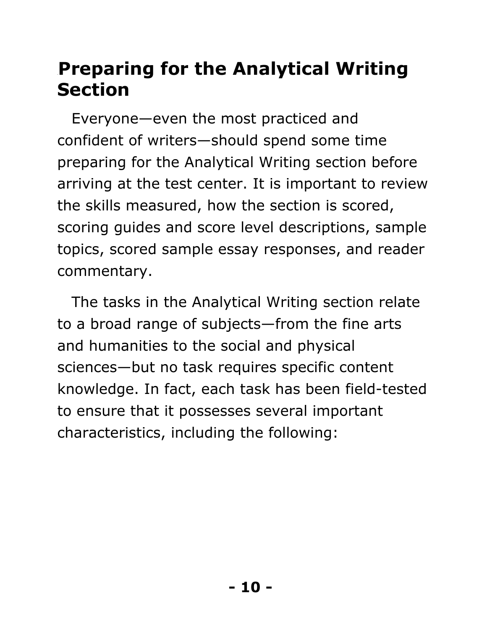### <span id="page-9-0"></span>4B**Preparing for the Analytical Writing Section**

Everyone—even the most practiced and confident of writers—should spend some time preparing for the Analytical Writing section before arriving at the test center. It is important to review the skills measured, how the section is scored, scoring guides and score level descriptions, sample topics, scored sample essay responses, and reader commentary.

The tasks in the Analytical Writing section relate to a broad range of subjects—from the fine arts and humanities to the social and physical sciences—but no task requires specific content knowledge. In fact, each task has been field-tested to ensure that it possesses several important characteristics, including the following: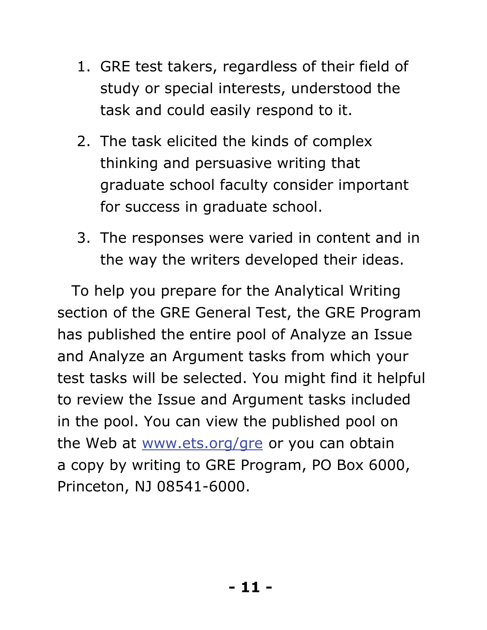- 1. GRE test takers, regardless of their field of study or special interests, understood the task and could easily respond to it.
- 2. The task elicited the kinds of complex thinking and persuasive writing that graduate school faculty consider important for success in graduate school.
- 3. The responses were varied in content and in the way the writers developed their ideas.

To help you prepare for the Analytical Writing section of the GRE General Test, the GRE Program has published the entire pool of Analyze an Issue and Analyze an Argument tasks from which your test tasks will be selected. You might find it helpful to review the Issue and Argument tasks included in the pool. You can view the published pool on the Web at www.ets.org/gre or you can obtain a copy by writing to GRE Program, PO Box 6000, Princeton, NJ 08541-6000.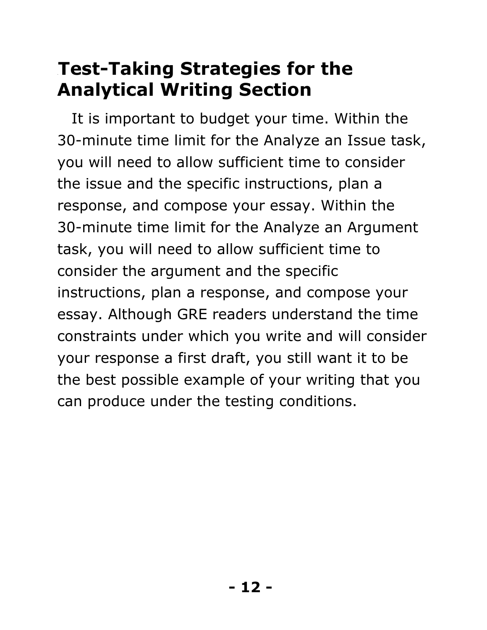### <span id="page-11-0"></span>**Test-Taking Strategies for the Analytical Writing Section**

It is important to budget your time. Within the 30-minute time limit for the Analyze an Issue task, you will need to allow sufficient time to consider the issue and the specific instructions, plan a response, and compose your essay. Within the 30-minute time limit for the Analyze an Argument task, you will need to allow sufficient time to consider the argument and the specific instructions, plan a response, and compose your essay. Although GRE readers understand the time constraints under which you write and will consider your response a first draft, you still want it to be the best possible example of your writing that you can produce under the testing conditions.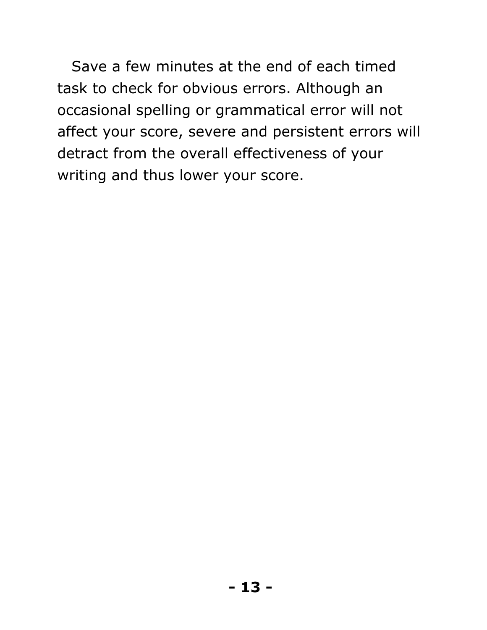Save a few minutes at the end of each timed task to check for obvious errors. Although an occasional spelling or grammatical error will not affect your score, severe and persistent errors will detract from the overall effectiveness of your writing and thus lower your score.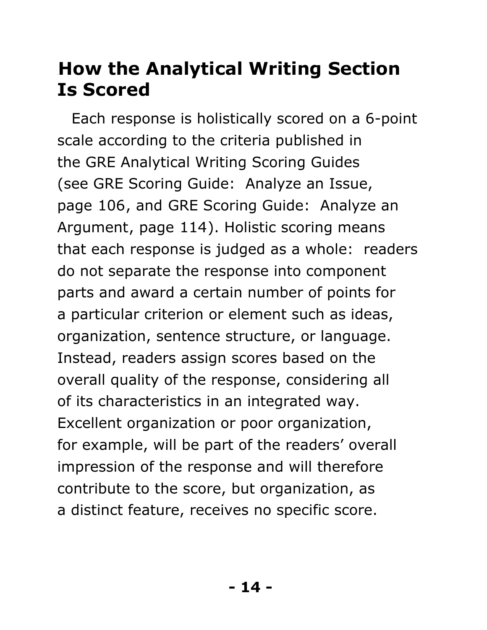### <span id="page-13-0"></span>**How the Analytical Writing Section Is Scored**

Each response is holistically scored on a 6-point scale according to the criteria published in the GRE Analytical Writing Scoring Guides (see GRE Scoring Guide: Analyze an Issue, page 106, and GRE Scoring Guide: Analyze an Argument, page 114). Holistic scoring means that each response is judged as a whole: readers do not separate the response into component parts and award a certain number of points for a particular criterion or element such as ideas, organization, sentence structure, or language. Instead, readers assign scores based on the overall quality of the response, considering all of its characteristics in an integrated way. Excellent organization or poor organization, for example, will be part of the readers' overall impression of the response and will therefore contribute to the score, but organization, as a distinct feature, receives no specific score.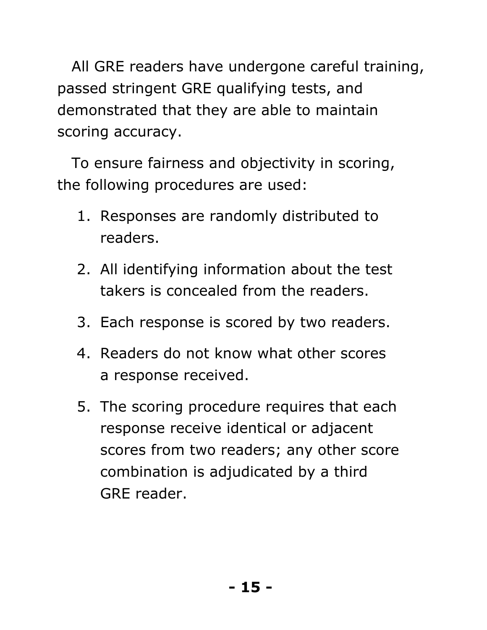All GRE readers have undergone careful training, passed stringent GRE qualifying tests, and demonstrated that they are able to maintain scoring accuracy.

To ensure fairness and objectivity in scoring, the following procedures are used:

- 1. Responses are randomly distributed to readers.
- 2. All identifying information about the test takers is concealed from the readers.
- 3. Each response is scored by two readers.
- 4. Readers do not know what other scores a response received.
- 5. The scoring procedure requires that each response receive identical or adjacent scores from two readers; any other score combination is adjudicated by a third GRE reader.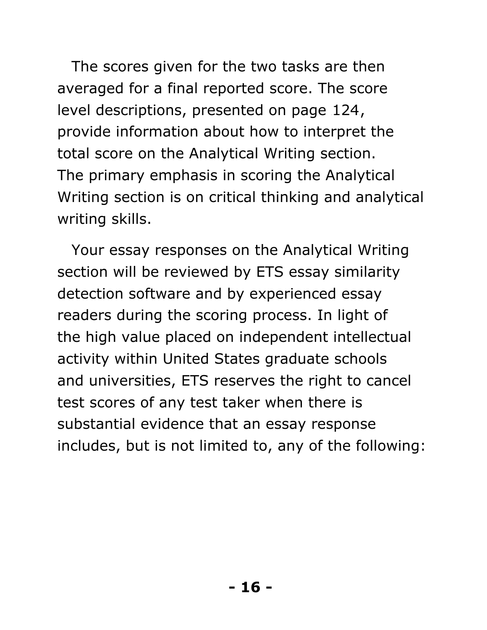The scores given for the two tasks are then averaged for a final reported score. The score level descriptions, presented on page 124, provide information about how to interpret the total score on the Analytical Writing section. The primary emphasis in scoring the Analytical Writing section is on critical thinking and analytical writing skills.

Your essay responses on the Analytical Writing section will be reviewed by ETS essay similarity detection software and by experienced essay readers during the scoring process. In light of the high value placed on independent intellectual activity within United States graduate schools and universities, ETS reserves the right to cancel test scores of any test taker when there is substantial evidence that an essay response includes, but is not limited to, any of the following: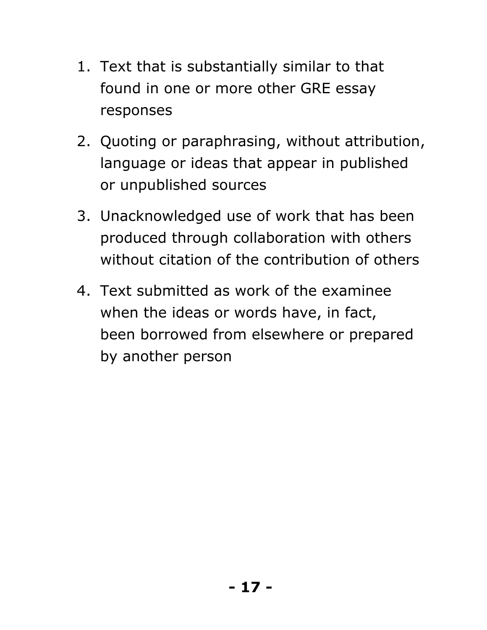- 1. Text that is substantially similar to that found in one or more other GRE essay responses
- 2. Quoting or paraphrasing, without attribution, language or ideas that appear in published or unpublished sources
- 3. Unacknowledged use of work that has been produced through collaboration with others without citation of the contribution of others
- 4. Text submitted as work of the examinee when the ideas or words have, in fact, been borrowed from elsewhere or prepared by another person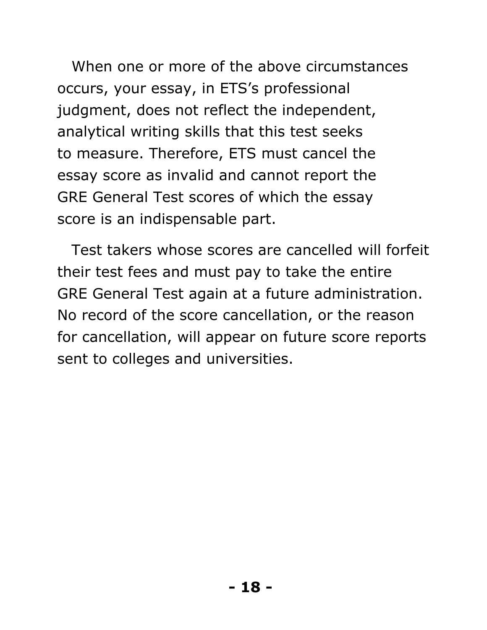When one or more of the above circumstances occurs, your essay, in ETS's professional judgment, does not reflect the independent, analytical writing skills that this test seeks to measure. Therefore, ETS must cancel the essay score as invalid and cannot report the GRE General Test scores of which the essay score is an indispensable part.

Test takers whose scores are cancelled will forfeit their test fees and must pay to take the entire GRE General Test again at a future administration. No record of the score cancellation, or the reason for cancellation, will appear on future score reports sent to colleges and universities.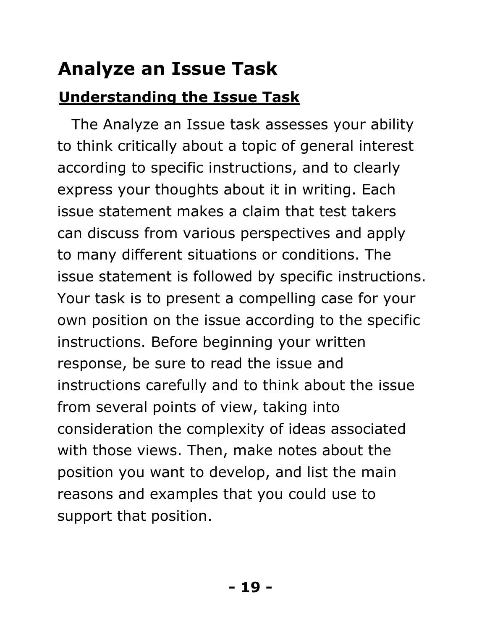### <span id="page-18-0"></span>7B**Analyze an Issue Task**

### <span id="page-18-1"></span>**Understanding the Issue Task**

The Analyze an Issue task assesses your ability to think critically about a topic of general interest according to specific instructions, and to clearly express your thoughts about it in writing. Each issue statement makes a claim that test takers can discuss from various perspectives and apply to many different situations or conditions. The issue statement is followed by specific instructions. Your task is to present a compelling case for your own position on the issue according to the specific instructions. Before beginning your written response, be sure to read the issue and instructions carefully and to think about the issue from several points of view, taking into consideration the complexity of ideas associated with those views. Then, make notes about the position you want to develop, and list the main reasons and examples that you could use to support that position.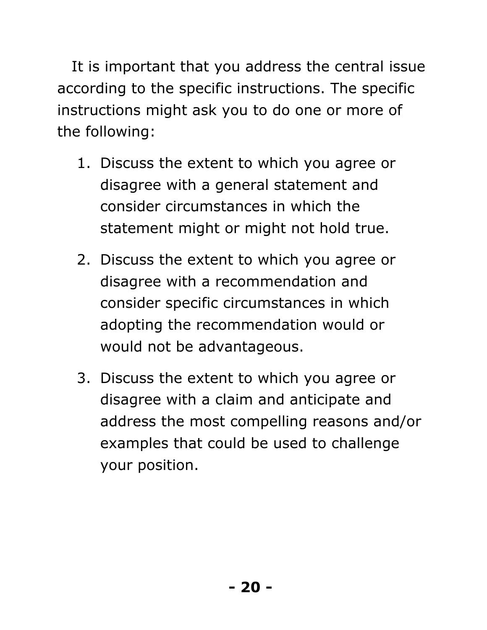It is important that you address the central issue according to the specific instructions. The specific instructions might ask you to do one or more of the following:

- 1. Discuss the extent to which you agree or disagree with a general statement and consider circumstances in which the statement might or might not hold true.
- 2. Discuss the extent to which you agree or disagree with a recommendation and consider specific circumstances in which adopting the recommendation would or would not be advantageous.
- 3. Discuss the extent to which you agree or disagree with a claim and anticipate and address the most compelling reasons and/or examples that could be used to challenge your position.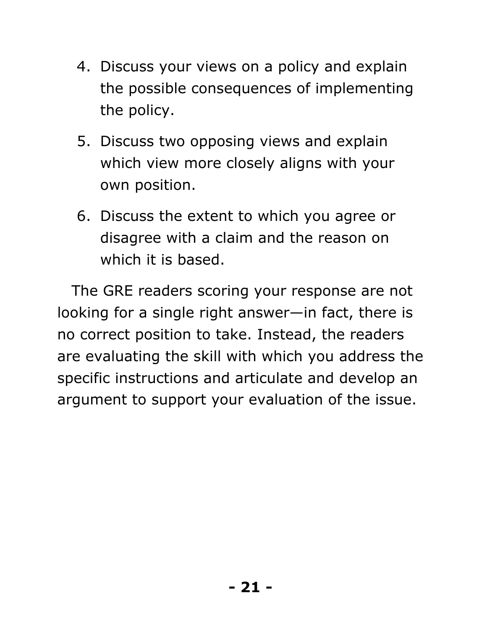- 4. Discuss your views on a policy and explain the possible consequences of implementing the policy.
- 5. Discuss two opposing views and explain which view more closely aligns with your own position.
- 6. Discuss the extent to which you agree or disagree with a claim and the reason on which it is based.

The GRE readers scoring your response are not looking for a single right answer—in fact, there is no correct position to take. Instead, the readers are evaluating the skill with which you address the specific instructions and articulate and develop an argument to support your evaluation of the issue.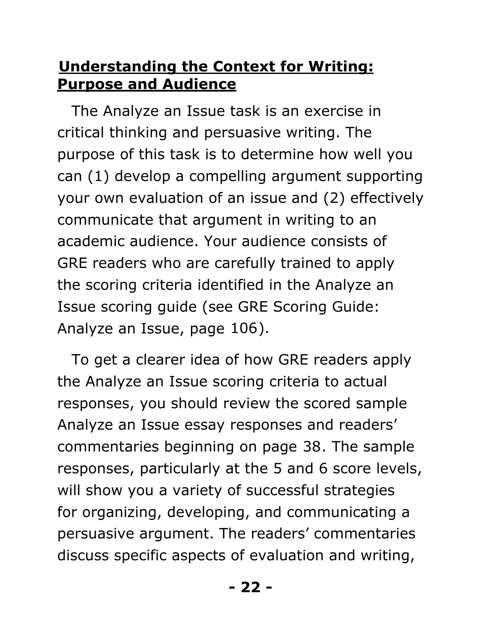#### <span id="page-21-0"></span>**Understanding the Context for Writing: Purpose and Audience**

The Analyze an Issue task is an exercise in critical thinking and persuasive writing. The purpose of this task is to determine how well you can (1) develop a compelling argument supporting your own evaluation of an issue and (2) effectively communicate that argument in writing to an academic audience. Your audience consists of GRE readers who are carefully trained to apply the scoring criteria identified in the Analyze an Issue scoring guide (see GRE Scoring Guide: Analyze an Issue, page 106).

To get a clearer idea of how GRE readers apply the Analyze an Issue scoring criteria to actual responses, you should review the scored sample Analyze an Issue essay responses and readers' commentaries beginning on page 38. The sample responses, particularly at the 5 and 6 score levels, will show you a variety of successful strategies for organizing, developing, and communicating a persuasive argument. The readers' commentaries discuss specific aspects of evaluation and writing,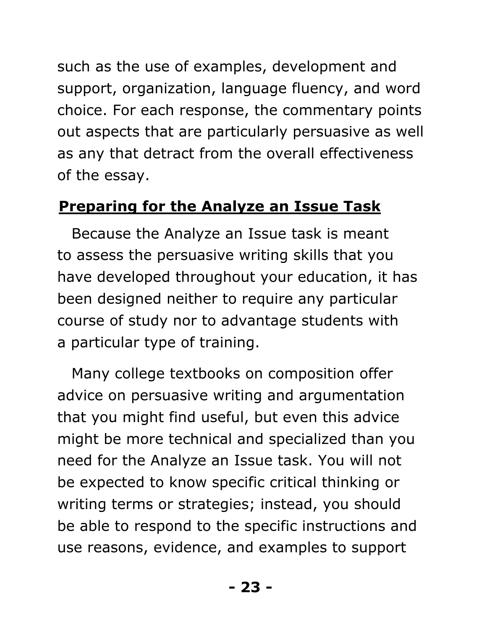such as the use of examples, development and support, organization, language fluency, and word choice. For each response, the commentary points out aspects that are particularly persuasive as well as any that detract from the overall effectiveness of the essay.

#### <span id="page-22-0"></span>**Preparing for the Analyze an Issue Task**

Because the Analyze an Issue task is meant to assess the persuasive writing skills that you have developed throughout your education, it has been designed neither to require any particular course of study nor to advantage students with a particular type of training.

Many college textbooks on composition offer advice on persuasive writing and argumentation that you might find useful, but even this advice might be more technical and specialized than you need for the Analyze an Issue task. You will not be expected to know specific critical thinking or writing terms or strategies; instead, you should be able to respond to the specific instructions and use reasons, evidence, and examples to support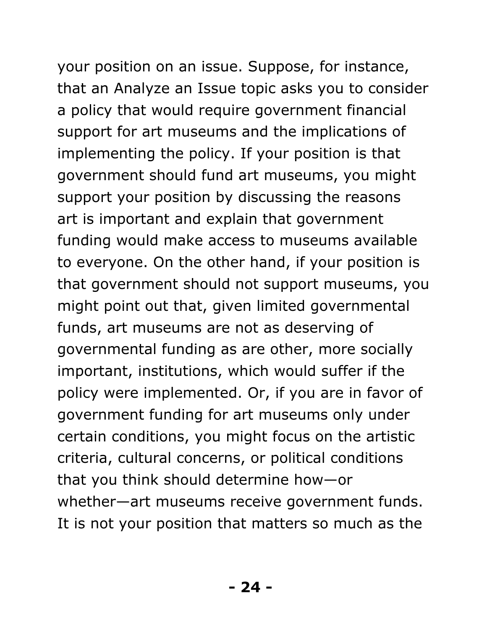your position on an issue. Suppose, for instance, that an Analyze an Issue topic asks you to consider a policy that would require government financial support for art museums and the implications of implementing the policy. If your position is that government should fund art museums, you might support your position by discussing the reasons

art is important and explain that government funding would make access to museums available to everyone. On the other hand, if your position is that government should not support museums, you might point out that, given limited governmental funds, art museums are not as deserving of governmental funding as are other, more socially important, institutions, which would suffer if the policy were implemented. Or, if you are in favor of government funding for art museums only under certain conditions, you might focus on the artistic criteria, cultural concerns, or political conditions that you think should determine how—or whether—art museums receive government funds. It is not your position that matters so much as the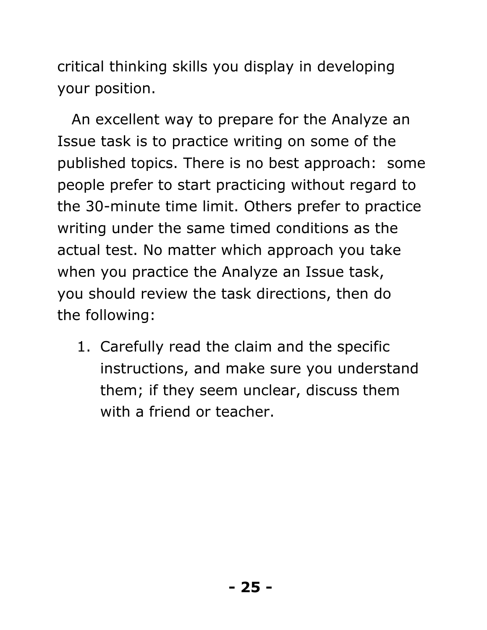critical thinking skills you display in developing your position.

An excellent way to prepare for the Analyze an Issue task is to practice writing on some of the published topics. There is no best approach: some people prefer to start practicing without regard to the 30-minute time limit. Others prefer to practice writing under the same timed conditions as the actual test. No matter which approach you take when you practice the Analyze an Issue task, you should review the task directions, then do the following:

1. Carefully read the claim and the specific instructions, and make sure you understand them; if they seem unclear, discuss them with a friend or teacher.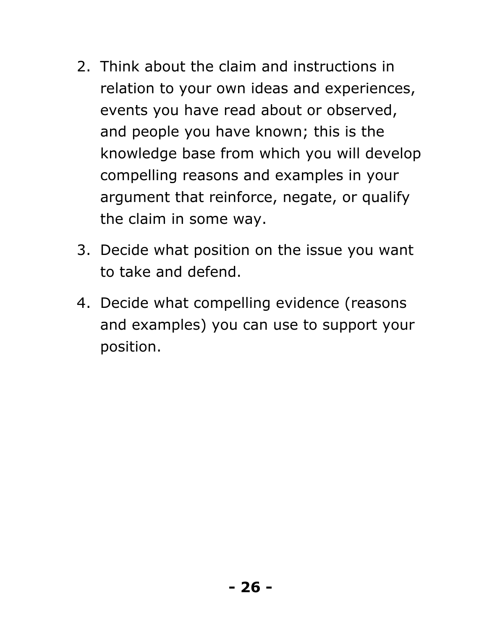- 2. Think about the claim and instructions in relation to your own ideas and experiences, events you have read about or observed, and people you have known; this is the knowledge base from which you will develop compelling reasons and examples in your argument that reinforce, negate, or qualify the claim in some way.
- 3. Decide what position on the issue you want to take and defend.
- 4. Decide what compelling evidence (reasons and examples) you can use to support your position.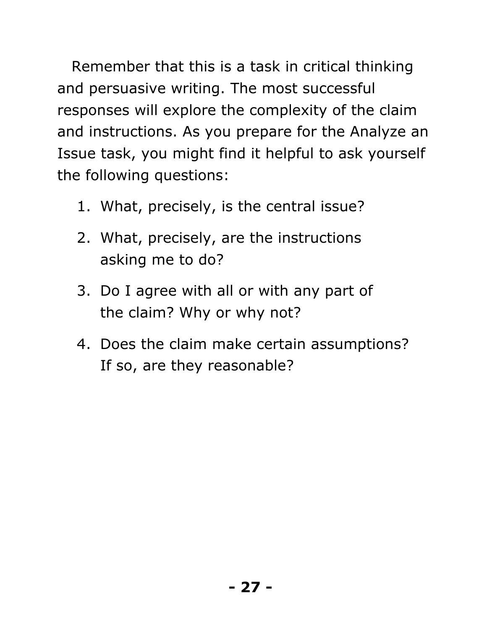Remember that this is a task in critical thinking and persuasive writing. The most successful responses will explore the complexity of the claim and instructions. As you prepare for the Analyze an Issue task, you might find it helpful to ask yourself the following questions:

- 1. What, precisely, is the central issue?
- 2. What, precisely, are the instructions asking me to do?
- 3. Do I agree with all or with any part of the claim? Why or why not?
- 4. Does the claim make certain assumptions? If so, are they reasonable?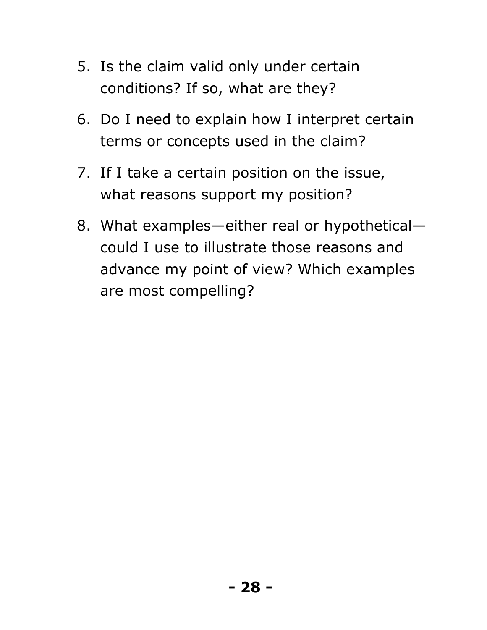- 5. Is the claim valid only under certain conditions? If so, what are they?
- 6. Do I need to explain how I interpret certain terms or concepts used in the claim?
- 7. If I take a certain position on the issue, what reasons support my position?
- 8. What examples—either real or hypothetical could I use to illustrate those reasons and advance my point of view? Which examples are most compelling?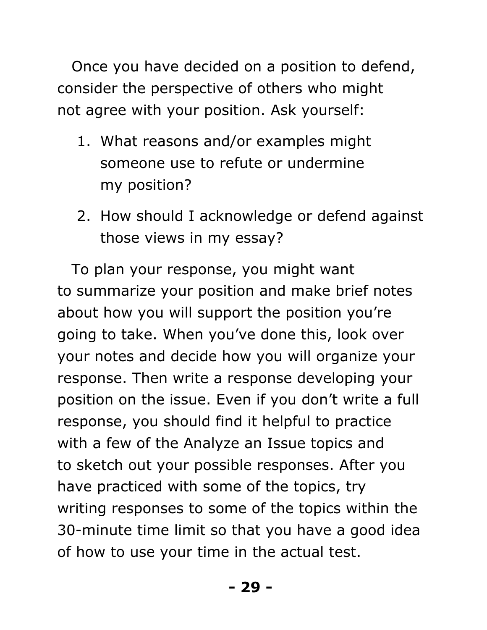Once you have decided on a position to defend, consider the perspective of others who might not agree with your position. Ask yourself:

- 1. What reasons and/or examples might someone use to refute or undermine my position?
- 2. How should I acknowledge or defend against those views in my essay?

To plan your response, you might want to summarize your position and make brief notes about how you will support the position you're going to take. When you've done this, look over your notes and decide how you will organize your response. Then write a response developing your position on the issue. Even if you don't write a full response, you should find it helpful to practice with a few of the Analyze an Issue topics and to sketch out your possible responses. After you have practiced with some of the topics, try writing responses to some of the topics within the 30-minute time limit so that you have a good idea of how to use your time in the actual test.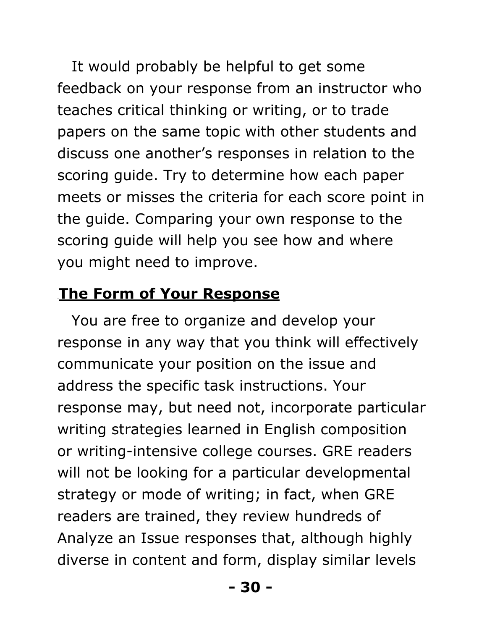It would probably be helpful to get some feedback on your response from an instructor who teaches critical thinking or writing, or to trade papers on the same topic with other students and discuss one another's responses in relation to the scoring guide. Try to determine how each paper meets or misses the criteria for each score point in the guide. Comparing your own response to the scoring guide will help you see how and where you might need to improve.

#### <span id="page-29-0"></span>15B**The Form of Your Response**

You are free to organize and develop your response in any way that you think will effectively communicate your position on the issue and address the specific task instructions. Your response may, but need not, incorporate particular writing strategies learned in English composition or writing-intensive college courses. GRE readers will not be looking for a particular developmental strategy or mode of writing; in fact, when GRE readers are trained, they review hundreds of Analyze an Issue responses that, although highly diverse in content and form, display similar levels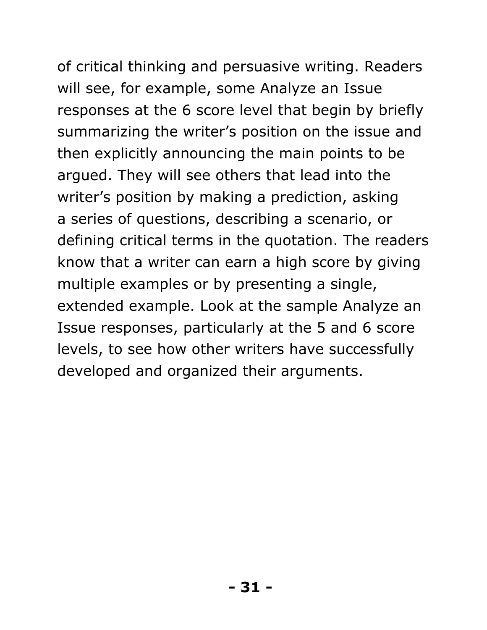of critical thinking and persuasive writing. Readers will see, for example, some Analyze an Issue responses at the 6 score level that begin by briefly summarizing the writer's position on the issue and then explicitly announcing the main points to be argued. They will see others that lead into the writer's position by making a prediction, asking a series of questions, describing a scenario, or defining critical terms in the quotation. The readers know that a writer can earn a high score by giving multiple examples or by presenting a single, extended example. Look at the sample Analyze an Issue responses, particularly at the 5 and 6 score levels, to see how other writers have successfully

developed and organized their arguments.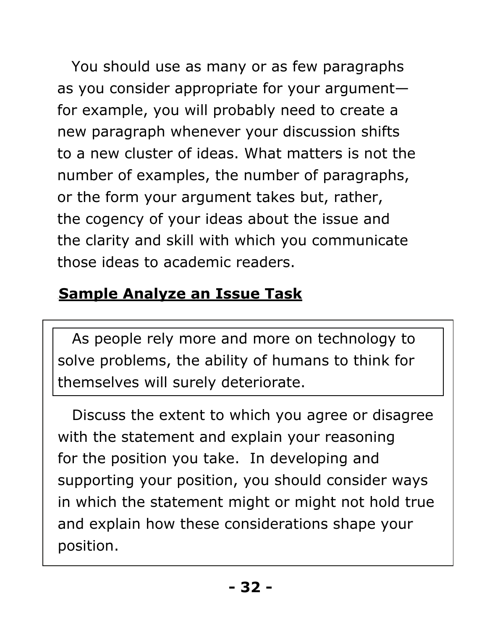You should use as many or as few paragraphs as you consider appropriate for your argument for example, you will probably need to create a new paragraph whenever your discussion shifts to a new cluster of ideas. What matters is not the number of examples, the number of paragraphs, or the form your argument takes but, rather, the cogency of your ideas about the issue and the clarity and skill with which you communicate those ideas to academic readers.

### <span id="page-31-0"></span>**Sample Analyze an Issue Task**

As people rely more and more on technology to solve problems, the ability of humans to think for themselves will surely deteriorate.

Discuss the extent to which you agree or disagree with the statement and explain your reasoning for the position you take. In developing and supporting your position, you should consider ways in which the statement might or might not hold true and explain how these considerations shape your position.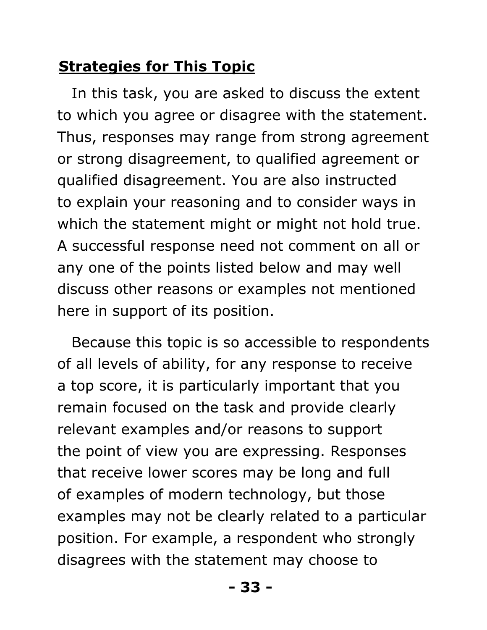#### <span id="page-32-0"></span>**Strategies for This Topic**

In this task, you are asked to discuss the extent to which you agree or disagree with the statement. Thus, responses may range from strong agreement or strong disagreement, to qualified agreement or qualified disagreement. You are also instructed to explain your reasoning and to consider ways in which the statement might or might not hold true. A successful response need not comment on all or any one of the points listed below and may well discuss other reasons or examples not mentioned here in support of its position.

Because this topic is so accessible to respondents of all levels of ability, for any response to receive a top score, it is particularly important that you remain focused on the task and provide clearly relevant examples and/or reasons to support the point of view you are expressing. Responses that receive lower scores may be long and full of examples of modern technology, but those examples may not be clearly related to a particular position. For example, a respondent who strongly disagrees with the statement may choose to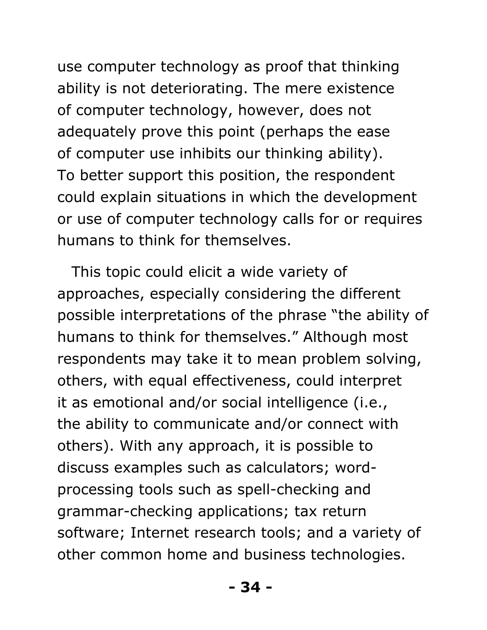use computer technology as proof that thinking ability is not deteriorating. The mere existence of computer technology, however, does not adequately prove this point (perhaps the ease of computer use inhibits our thinking ability). To better support this position, the respondent could explain situations in which the development or use of computer technology calls for or requires humans to think for themselves.

This topic could elicit a wide variety of approaches, especially considering the different possible interpretations of the phrase "the ability of humans to think for themselves." Although most respondents may take it to mean problem solving, others, with equal effectiveness, could interpret it as emotional and/or social intelligence (i.e., the ability to communicate and/or connect with others). With any approach, it is possible to discuss examples such as calculators; wordprocessing tools such as spell-checking and grammar-checking applications; tax return software; Internet research tools; and a variety of other common home and business technologies.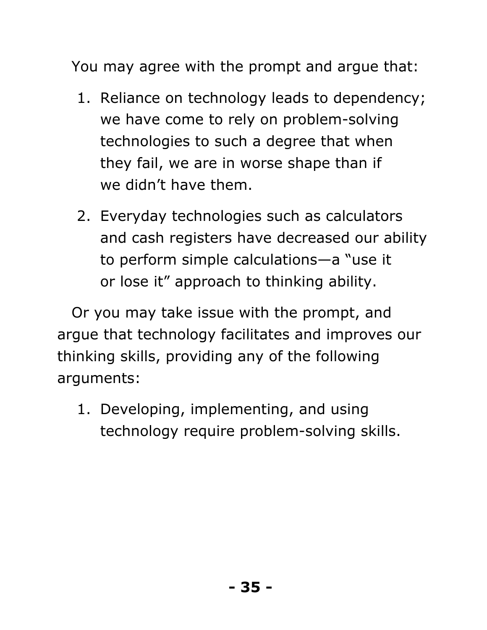You may agree with the prompt and argue that:

- 1. Reliance on technology leads to dependency; we have come to rely on problem-solving technologies to such a degree that when they fail, we are in worse shape than if we didn't have them.
- 2. Everyday technologies such as calculators and cash registers have decreased our ability to perform simple calculations—a "use it or lose it" approach to thinking ability.

Or you may take issue with the prompt, and argue that technology facilitates and improves our thinking skills, providing any of the following arguments:

 1. Developing, implementing, and using technology require problem-solving skills.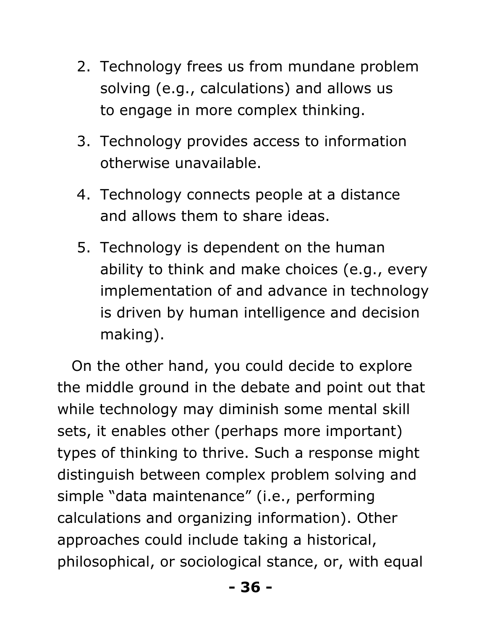- 2. Technology frees us from mundane problem solving (e.g., calculations) and allows us to engage in more complex thinking.
- 3. Technology provides access to information otherwise unavailable.
- 4. Technology connects people at a distance and allows them to share ideas.
- 5. Technology is dependent on the human ability to think and make choices (e.g., every implementation of and advance in technology is driven by human intelligence and decision making).

On the other hand, you could decide to explore the middle ground in the debate and point out that while technology may diminish some mental skill sets, it enables other (perhaps more important) types of thinking to thrive. Such a response might distinguish between complex problem solving and simple "data maintenance" (i.e., performing calculations and organizing information). Other approaches could include taking a historical, philosophical, or sociological stance, or, with equal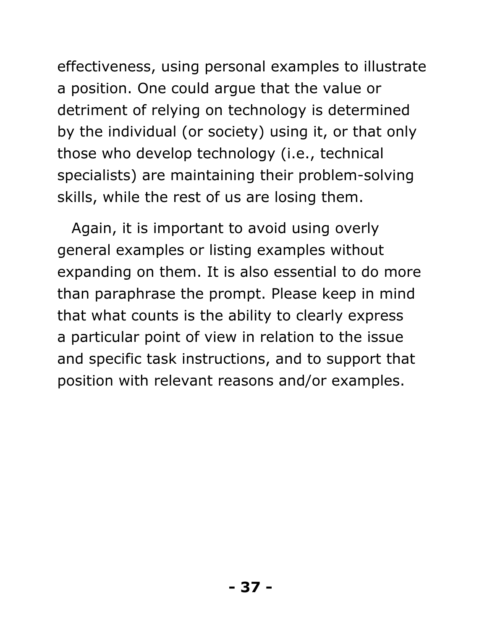effectiveness, using personal examples to illustrate a position. One could argue that the value or detriment of relying on technology is determined by the individual (or society) using it, or that only those who develop technology (i.e., technical specialists) are maintaining their problem-solving skills, while the rest of us are losing them.

Again, it is important to avoid using overly general examples or listing examples without expanding on them. It is also essential to do more than paraphrase the prompt. Please keep in mind that what counts is the ability to clearly express a particular point of view in relation to the issue and specific task instructions, and to support that position with relevant reasons and/or examples.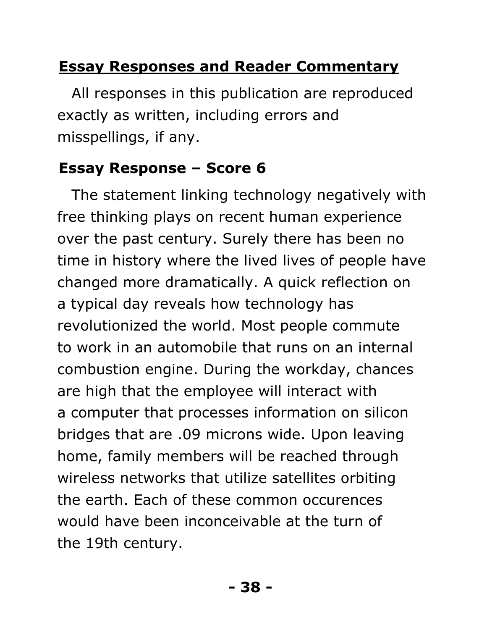# **Essay Responses and Reader Commentary**

All responses in this publication are reproduced exactly as written, including errors and misspellings, if any.

# 41B**Essay Response – Score 6**

The statement linking technology negatively with free thinking plays on recent human experience over the past century. Surely there has been no time in history where the lived lives of people have changed more dramatically. A quick reflection on a typical day reveals how technology has revolutionized the world. Most people commute to work in an automobile that runs on an internal combustion engine. During the workday, chances are high that the employee will interact with a computer that processes information on silicon bridges that are .09 microns wide. Upon leaving home, family members will be reached through wireless networks that utilize satellites orbiting the earth. Each of these common occurences would have been inconceivable at the turn of the 19th century.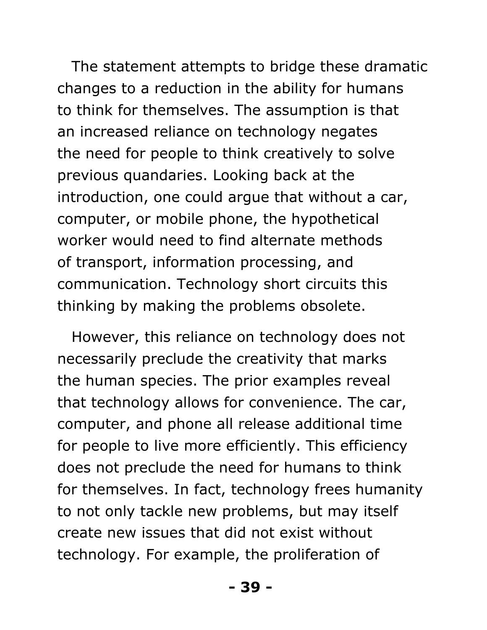The statement attempts to bridge these dramatic changes to a reduction in the ability for humans to think for themselves. The assumption is that an increased reliance on technology negates the need for people to think creatively to solve previous quandaries. Looking back at the introduction, one could argue that without a car, computer, or mobile phone, the hypothetical worker would need to find alternate methods of transport, information processing, and communication. Technology short circuits this thinking by making the problems obsolete.

However, this reliance on technology does not necessarily preclude the creativity that marks the human species. The prior examples reveal that technology allows for convenience. The car, computer, and phone all release additional time for people to live more efficiently. This efficiency does not preclude the need for humans to think for themselves. In fact, technology frees humanity to not only tackle new problems, but may itself create new issues that did not exist without technology. For example, the proliferation of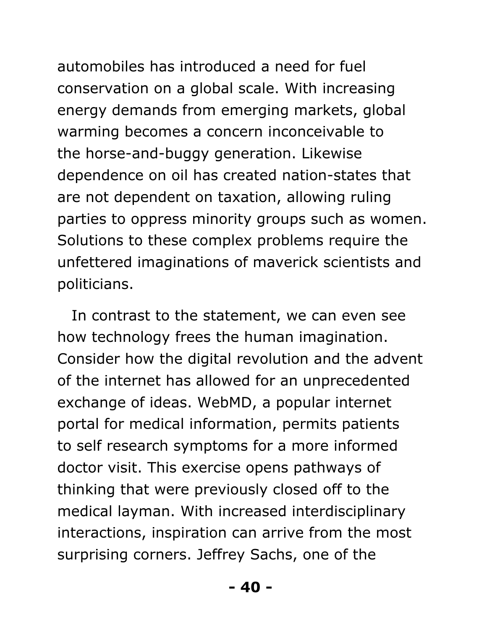automobiles has introduced a need for fuel conservation on a global scale. With increasing energy demands from emerging markets, global warming becomes a concern inconceivable to the horse-and-buggy generation. Likewise dependence on oil has created nation-states that are not dependent on taxation, allowing ruling parties to oppress minority groups such as women. Solutions to these complex problems require the unfettered imaginations of maverick scientists and politicians.

In contrast to the statement, we can even see how technology frees the human imagination. Consider how the digital revolution and the advent of the internet has allowed for an unprecedented exchange of ideas. WebMD, a popular internet portal for medical information, permits patients to self research symptoms for a more informed doctor visit. This exercise opens pathways of thinking that were previously closed off to the medical layman. With increased interdisciplinary interactions, inspiration can arrive from the most surprising corners. Jeffrey Sachs, one of the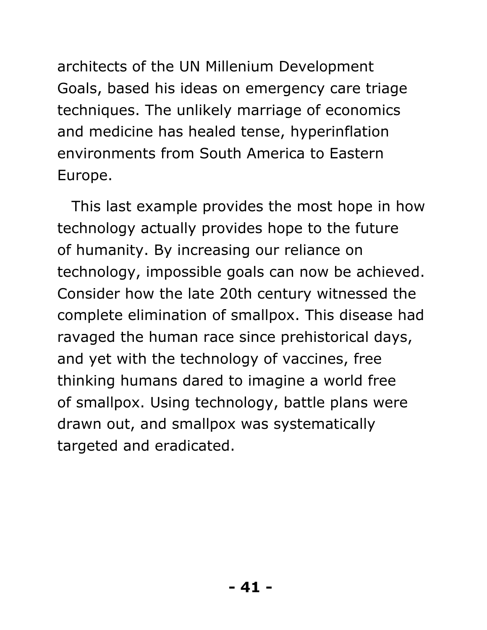architects of the UN Millenium Development Goals, based his ideas on emergency care triage techniques. The unlikely marriage of economics and medicine has healed tense, hyperinflation environments from South America to Eastern Europe.

This last example provides the most hope in how technology actually provides hope to the future of humanity. By increasing our reliance on technology, impossible goals can now be achieved. Consider how the late 20th century witnessed the complete elimination of smallpox. This disease had ravaged the human race since prehistorical days, and yet with the technology of vaccines, free thinking humans dared to imagine a world free of smallpox. Using technology, battle plans were drawn out, and smallpox was systematically targeted and eradicated.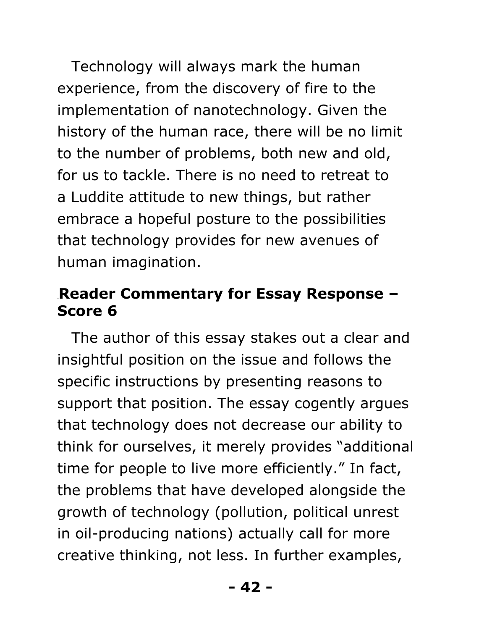Technology will always mark the human experience, from the discovery of fire to the implementation of nanotechnology. Given the history of the human race, there will be no limit to the number of problems, both new and old, for us to tackle. There is no need to retreat to a Luddite attitude to new things, but rather embrace a hopeful posture to the possibilities that technology provides for new avenues of human imagination.

#### 42B**Reader Commentary for Essay Response – Score 6**

The author of this essay stakes out a clear and insightful position on the issue and follows the specific instructions by presenting reasons to support that position. The essay cogently argues that technology does not decrease our ability to think for ourselves, it merely provides "additional time for people to live more efficiently." In fact, the problems that have developed alongside the growth of technology (pollution, political unrest in oil-producing nations) actually call for more creative thinking, not less. In further examples,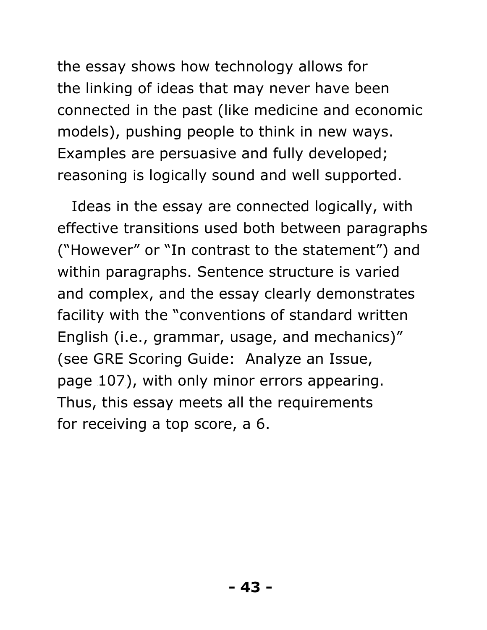the essay shows how technology allows for the linking of ideas that may never have been connected in the past (like medicine and economic models), pushing people to think in new ways. Examples are persuasive and fully developed; reasoning is logically sound and well supported.

Ideas in the essay are connected logically, with effective transitions used both between paragraphs ("However" or "In contrast to the statement") and within paragraphs. Sentence structure is varied and complex, and the essay clearly demonstrates facility with the "conventions of standard written English (i.e., grammar, usage, and mechanics)" (see GRE Scoring Guide: Analyze an Issue, page 107), with only minor errors appearing. Thus, this essay meets all the requirements for receiving a top score, a 6.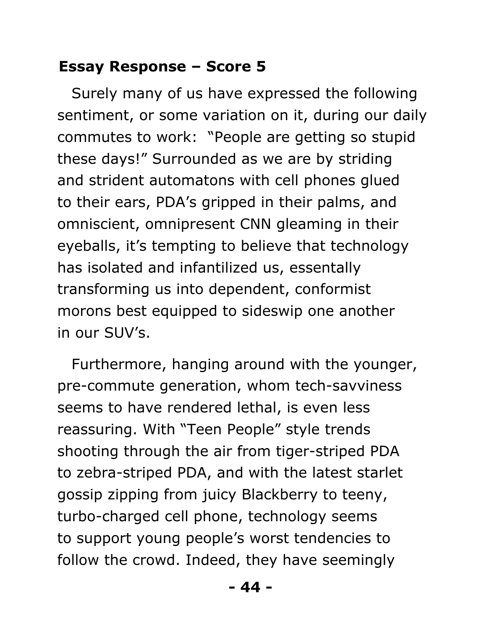#### 43B**Essay Response – Score 5**

Surely many of us have expressed the following sentiment, or some variation on it, during our daily commutes to work: "People are getting so stupid these days!" Surrounded as we are by striding and strident automatons with cell phones glued to their ears, PDA's gripped in their palms, and omniscient, omnipresent CNN gleaming in their eyeballs, it's tempting to believe that technology has isolated and infantilized us, essentally transforming us into dependent, conformist morons best equipped to sideswip one another in our SUV's.

Furthermore, hanging around with the younger, pre-commute generation, whom tech-savviness seems to have rendered lethal, is even less reassuring. With "Teen People" style trends shooting through the air from tiger-striped PDA to zebra-striped PDA, and with the latest starlet gossip zipping from juicy Blackberry to teeny, turbo-charged cell phone, technology seems to support young people's worst tendencies to follow the crowd. Indeed, they have seemingly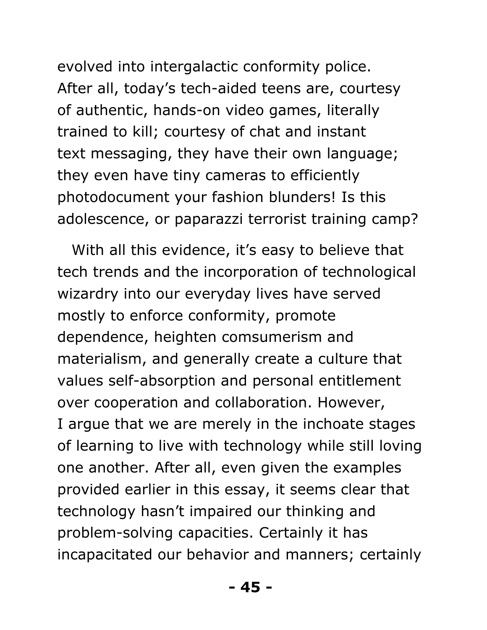evolved into intergalactic conformity police. After all, today's tech-aided teens are, courtesy of authentic, hands-on video games, literally trained to kill; courtesy of chat and instant text messaging, they have their own language; they even have tiny cameras to efficiently photodocument your fashion blunders! Is this adolescence, or paparazzi terrorist training camp?

With all this evidence, it's easy to believe that tech trends and the incorporation of technological wizardry into our everyday lives have served mostly to enforce conformity, promote dependence, heighten comsumerism and materialism, and generally create a culture that values self-absorption and personal entitlement over cooperation and collaboration. However, I argue that we are merely in the inchoate stages of learning to live with technology while still loving one another. After all, even given the examples provided earlier in this essay, it seems clear that technology hasn't impaired our thinking and problem-solving capacities. Certainly it has incapacitated our behavior and manners; certainly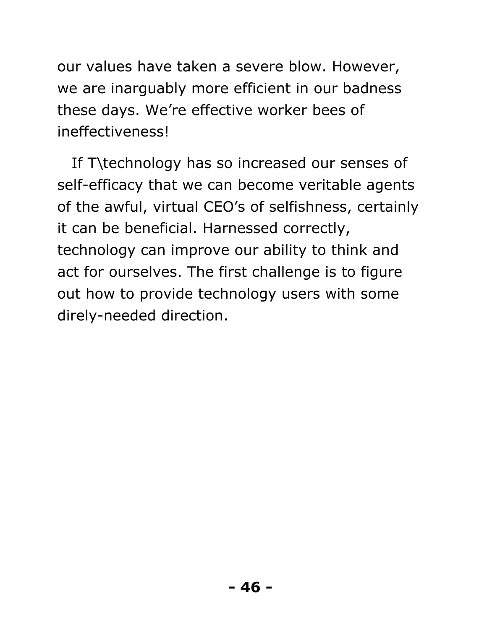our values have taken a severe blow. However, we are inarguably more efficient in our badness these days. We're effective worker bees of ineffectiveness!

If T\technology has so increased our senses of self-efficacy that we can become veritable agents of the awful, virtual CEO's of selfishness, certainly it can be beneficial. Harnessed correctly, technology can improve our ability to think and act for ourselves. The first challenge is to figure out how to provide technology users with some direly-needed direction.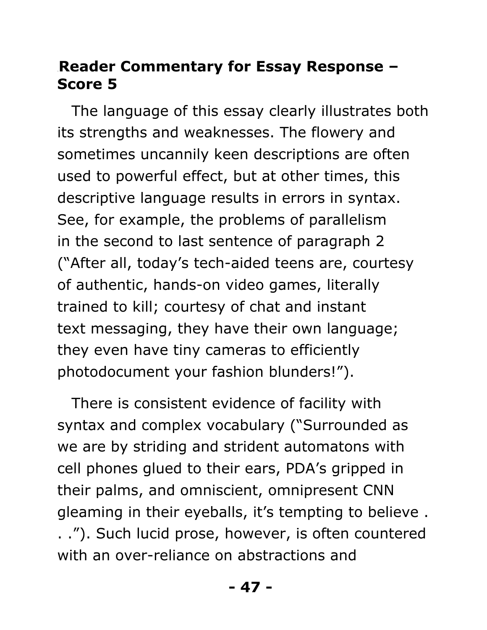#### 44B**Reader Commentary for Essay Response – Score 5**

The language of this essay clearly illustrates both its strengths and weaknesses. The flowery and sometimes uncannily keen descriptions are often used to powerful effect, but at other times, this descriptive language results in errors in syntax. See, for example, the problems of parallelism in the second to last sentence of paragraph 2 ("After all, today's tech-aided teens are, courtesy of authentic, hands-on video games, literally trained to kill; courtesy of chat and instant text messaging, they have their own language; they even have tiny cameras to efficiently photodocument your fashion blunders!").

There is consistent evidence of facility with syntax and complex vocabulary ("Surrounded as we are by striding and strident automatons with cell phones glued to their ears, PDA's gripped in their palms, and omniscient, omnipresent CNN gleaming in their eyeballs, it's tempting to believe . . ."). Such lucid prose, however, is often countered with an over-reliance on abstractions and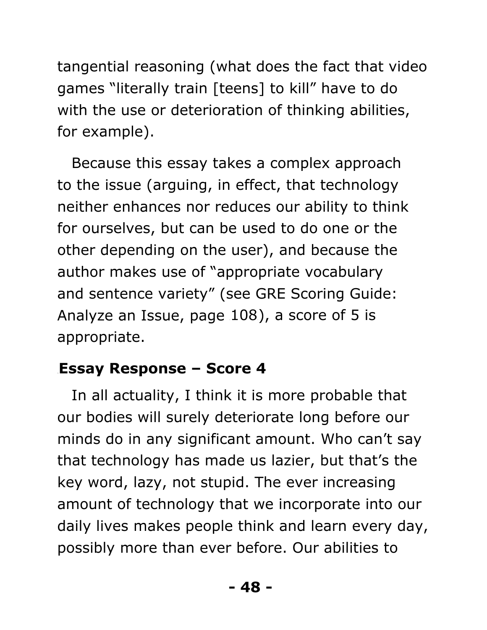tangential reasoning (what does the fact that video games "literally train [teens] to kill" have to do with the use or deterioration of thinking abilities, for example).

Because this essay takes a complex approach to the issue (arguing, in effect, that technology neither enhances nor reduces our ability to think for ourselves, but can be used to do one or the other depending on the user), and because the author makes use of "appropriate vocabulary and sentence variety" (see GRE Scoring Guide: Analyze an Issue, page  $108$ ), a score of 5 is appropriate.

# 45B**Essay Response – Score 4**

In all actuality, I think it is more probable that our bodies will surely deteriorate long before our minds do in any significant amount. Who can't say that technology has made us lazier, but that's the key word, lazy, not stupid. The ever increasing amount of technology that we incorporate into our daily lives makes people think and learn every day, possibly more than ever before. Our abilities to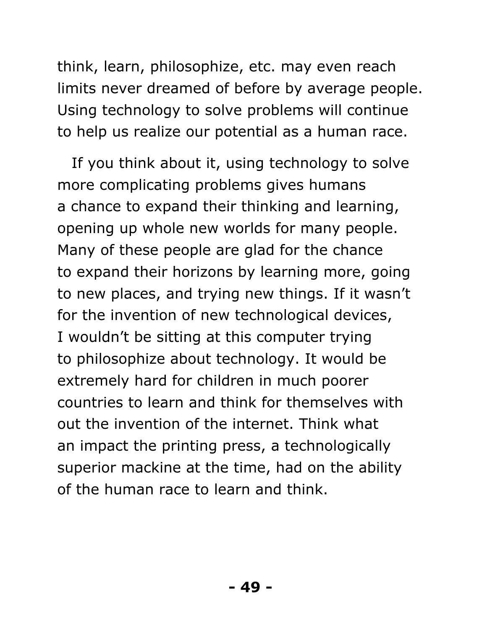think, learn, philosophize, etc. may even reach limits never dreamed of before by average people. Using technology to solve problems will continue to help us realize our potential as a human race.

If you think about it, using technology to solve more complicating problems gives humans a chance to expand their thinking and learning, opening up whole new worlds for many people. Many of these people are glad for the chance to expand their horizons by learning more, going to new places, and trying new things. If it wasn't for the invention of new technological devices, I wouldn't be sitting at this computer trying to philosophize about technology. It would be extremely hard for children in much poorer countries to learn and think for themselves with out the invention of the internet. Think what an impact the printing press, a technologically superior mackine at the time, had on the ability of the human race to learn and think.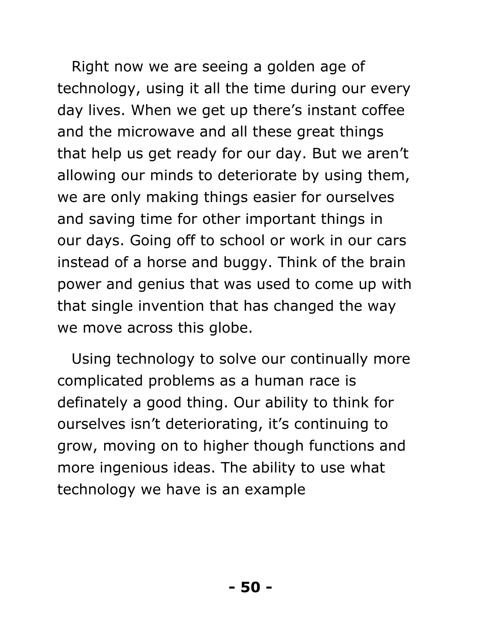Right now we are seeing a golden age of technology, using it all the time during our every day lives. When we get up there's instant coffee and the microwave and all these great things that help us get ready for our day. But we aren't allowing our minds to deteriorate by using them, we are only making things easier for ourselves and saving time for other important things in our days. Going off to school or work in our cars instead of a horse and buggy. Think of the brain power and genius that was used to come up with that single invention that has changed the way we move across this globe.

Using technology to solve our continually more complicated problems as a human race is definately a good thing. Our ability to think for ourselves isn't deteriorating, it's continuing to grow, moving on to higher though functions and more ingenious ideas. The ability to use what technology we have is an example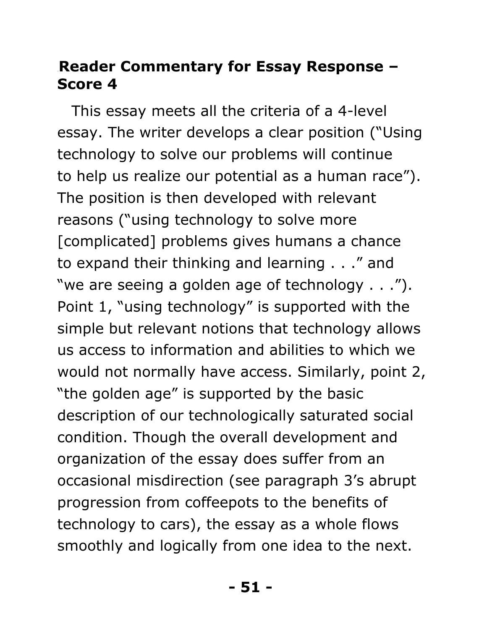#### 46B**Reader Commentary for Essay Response – Score 4**

This essay meets all the criteria of a 4-level essay. The writer develops a clear position ("Using technology to solve our problems will continue to help us realize our potential as a human race"). The position is then developed with relevant reasons ("using technology to solve more [complicated] problems gives humans a chance to expand their thinking and learning . . ." and "we are seeing a golden age of technology . . ."). Point 1, "using technology" is supported with the simple but relevant notions that technology allows us access to information and abilities to which we would not normally have access. Similarly, point 2, "the golden age" is supported by the basic description of our technologically saturated social condition. Though the overall development and organization of the essay does suffer from an occasional misdirection (see paragraph 3's abrupt progression from coffeepots to the benefits of technology to cars), the essay as a whole flows smoothly and logically from one idea to the next.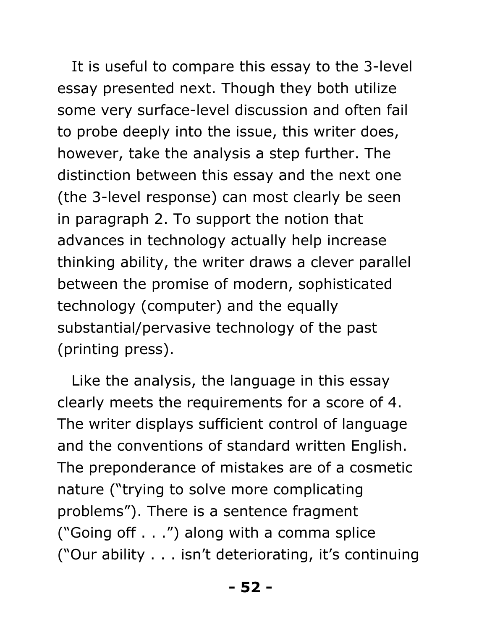It is useful to compare this essay to the 3-level essay presented next. Though they both utilize some very surface-level discussion and often fail to probe deeply into the issue, this writer does, however, take the analysis a step further. The distinction between this essay and the next one (the 3-level response) can most clearly be seen in paragraph 2. To support the notion that advances in technology actually help increase thinking ability, the writer draws a clever parallel between the promise of modern, sophisticated technology (computer) and the equally substantial/pervasive technology of the past (printing press).

Like the analysis, the language in this essay clearly meets the requirements for a score of 4. The writer displays sufficient control of language and the conventions of standard written English. The preponderance of mistakes are of a cosmetic nature ("trying to solve more complicating problems"). There is a sentence fragment ("Going off . . .") along with a comma splice ("Our ability . . . isn't deteriorating, it's continuing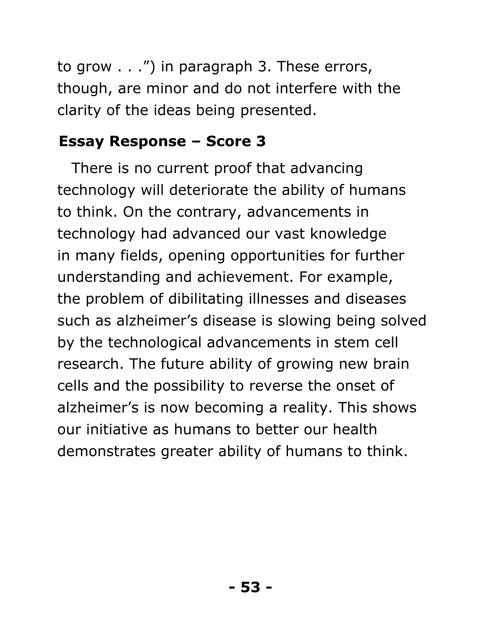to grow . . .") in paragraph 3. These errors, though, are minor and do not interfere with the clarity of the ideas being presented.

#### 47B**Essay Response – Score 3**

There is no current proof that advancing technology will deteriorate the ability of humans to think. On the contrary, advancements in technology had advanced our vast knowledge in many fields, opening opportunities for further understanding and achievement. For example, the problem of dibilitating illnesses and diseases such as alzheimer's disease is slowing being solved by the technological advancements in stem cell research. The future ability of growing new brain cells and the possibility to reverse the onset of alzheimer's is now becoming a reality. This shows our initiative as humans to better our health demonstrates greater ability of humans to think.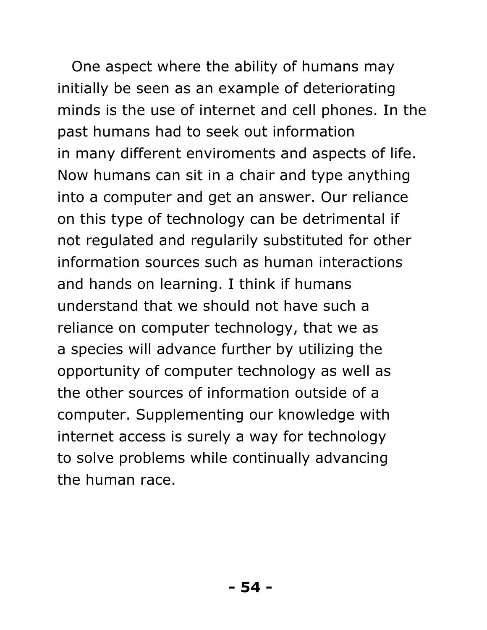One aspect where the ability of humans may initially be seen as an example of deteriorating minds is the use of internet and cell phones. In the past humans had to seek out information in many different enviroments and aspects of life. Now humans can sit in a chair and type anything into a computer and get an answer. Our reliance on this type of technology can be detrimental if not regulated and regularily substituted for other information sources such as human interactions and hands on learning. I think if humans understand that we should not have such a reliance on computer technology, that we as a species will advance further by utilizing the opportunity of computer technology as well as the other sources of information outside of a computer. Supplementing our knowledge with internet access is surely a way for technology to solve problems while continually advancing the human race.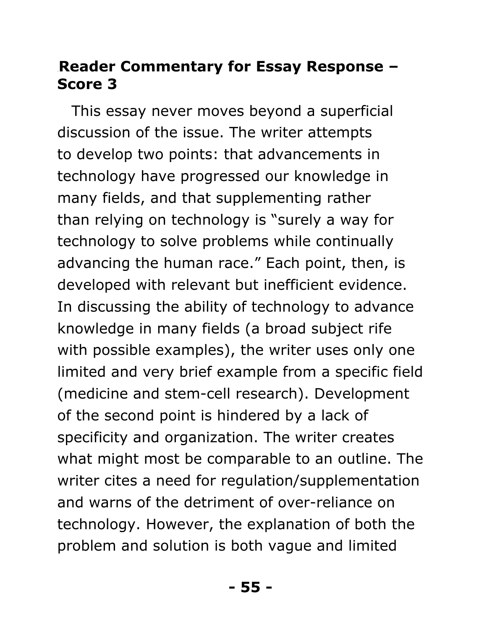#### 48B**Reader Commentary for Essay Response – Score 3**

This essay never moves beyond a superficial discussion of the issue. The writer attempts to develop two points: that advancements in technology have progressed our knowledge in many fields, and that supplementing rather than relying on technology is "surely a way for technology to solve problems while continually advancing the human race." Each point, then, is developed with relevant but inefficient evidence. In discussing the ability of technology to advance knowledge in many fields (a broad subject rife with possible examples), the writer uses only one limited and very brief example from a specific field (medicine and stem-cell research). Development of the second point is hindered by a lack of specificity and organization. The writer creates what might most be comparable to an outline. The writer cites a need for regulation/supplementation and warns of the detriment of over-reliance on technology. However, the explanation of both the problem and solution is both vague and limited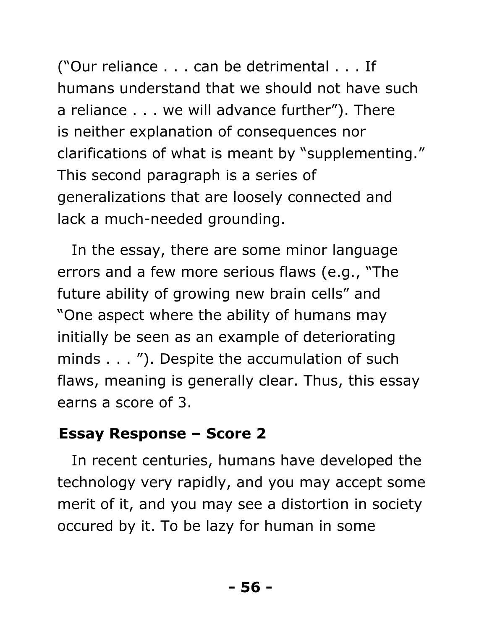("Our reliance . . . can be detrimental . . . If humans understand that we should not have such a reliance . . . we will advance further"). There is neither explanation of consequences nor clarifications of what is meant by "supplementing." This second paragraph is a series of generalizations that are loosely connected and lack a much-needed grounding.

In the essay, there are some minor language errors and a few more serious flaws (e.g., "The future ability of growing new brain cells" and "One aspect where the ability of humans may initially be seen as an example of deteriorating minds . . . "). Despite the accumulation of such flaws, meaning is generally clear. Thus, this essay earns a score of 3.

#### 49B**Essay Response – Score 2**

In recent centuries, humans have developed the technology very rapidly, and you may accept some merit of it, and you may see a distortion in society occured by it. To be lazy for human in some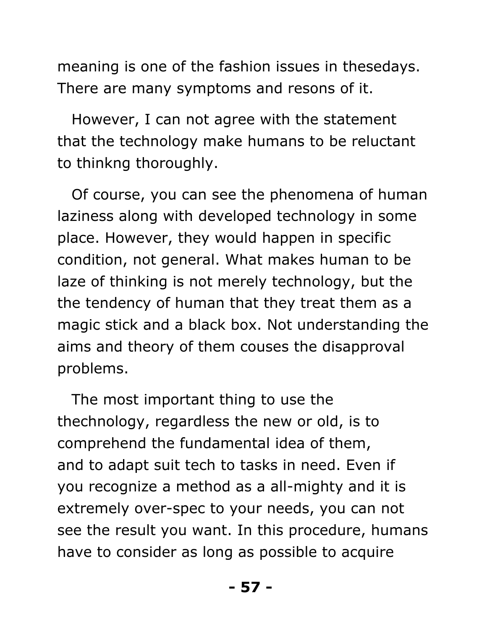meaning is one of the fashion issues in thesedays. There are many symptoms and resons of it.

However, I can not agree with the statement that the technology make humans to be reluctant to thinkng thoroughly.

Of course, you can see the phenomena of human laziness along with developed technology in some place. However, they would happen in specific condition, not general. What makes human to be laze of thinking is not merely technology, but the the tendency of human that they treat them as a magic stick and a black box. Not understanding the aims and theory of them couses the disapproval problems.

The most important thing to use the thechnology, regardless the new or old, is to comprehend the fundamental idea of them, and to adapt suit tech to tasks in need. Even if you recognize a method as a all-mighty and it is extremely over-spec to your needs, you can not see the result you want. In this procedure, humans have to consider as long as possible to acquire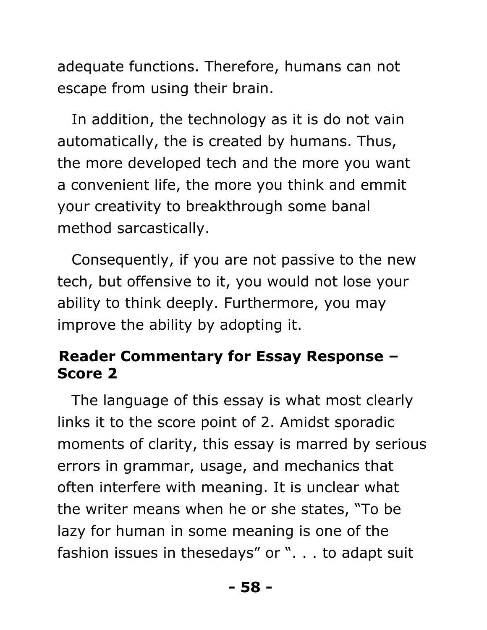adequate functions. Therefore, humans can not escape from using their brain.

In addition, the technology as it is do not vain automatically, the is created by humans. Thus, the more developed tech and the more you want a convenient life, the more you think and emmit your creativity to breakthrough some banal method sarcastically.

Consequently, if you are not passive to the new tech, but offensive to it, you would not lose your ability to think deeply. Furthermore, you may improve the ability by adopting it.

#### 50B**Reader Commentary for Essay Response – Score 2**

The language of this essay is what most clearly links it to the score point of 2. Amidst sporadic moments of clarity, this essay is marred by serious errors in grammar, usage, and mechanics that often interfere with meaning. It is unclear what the writer means when he or she states, "To be lazy for human in some meaning is one of the fashion issues in thesedays" or ". . . to adapt suit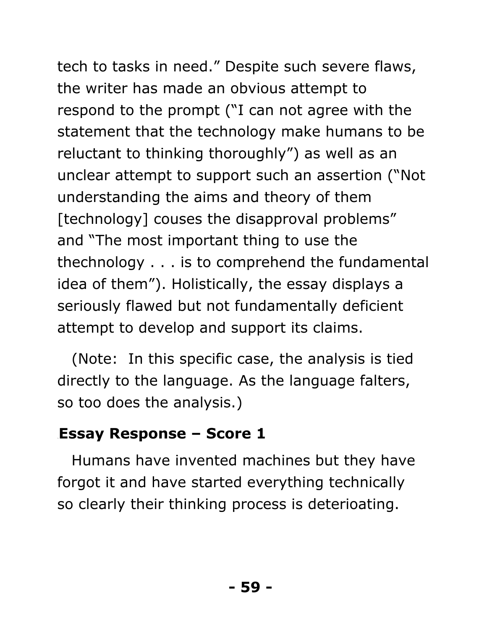tech to tasks in need." Despite such severe flaws, the writer has made an obvious attempt to respond to the prompt ("I can not agree with the statement that the technology make humans to be reluctant to thinking thoroughly") as well as an unclear attempt to support such an assertion ("Not understanding the aims and theory of them [technology] couses the disapproval problems" and "The most important thing to use the thechnology . . . is to comprehend the fundamental idea of them"). Holistically, the essay displays a seriously flawed but not fundamentally deficient attempt to develop and support its claims.

(Note: In this specific case, the analysis is tied directly to the language. As the language falters, so too does the analysis.)

#### **Essay Response – Score 1**

Humans have invented machines but they have forgot it and have started everything technically so clearly their thinking process is deterioating.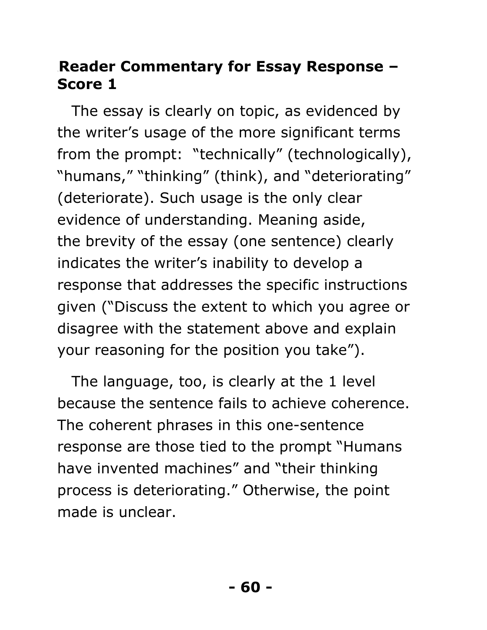#### 52B**Reader Commentary for Essay Response – Score 1**

The essay is clearly on topic, as evidenced by the writer's usage of the more significant terms from the prompt: "technically" (technologically), "humans," "thinking" (think), and "deteriorating" (deteriorate). Such usage is the only clear evidence of understanding. Meaning aside, the brevity of the essay (one sentence) clearly indicates the writer's inability to develop a response that addresses the specific instructions given ("Discuss the extent to which you agree or disagree with the statement above and explain your reasoning for the position you take").

The language, too, is clearly at the 1 level because the sentence fails to achieve coherence. The coherent phrases in this one-sentence response are those tied to the prompt "Humans have invented machines" and "their thinking process is deteriorating." Otherwise, the point made is unclear.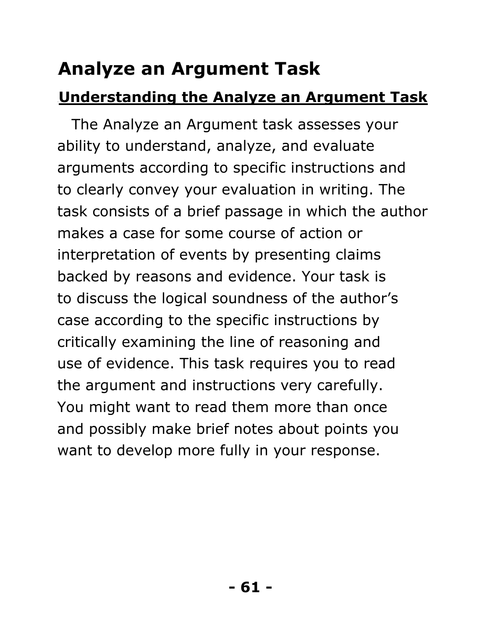# 8B**Analyze an Argument Task**

# **Understanding the Analyze an Argument Task**

The Analyze an Argument task assesses your ability to understand, analyze, and evaluate arguments according to specific instructions and to clearly convey your evaluation in writing. The task consists of a brief passage in which the author makes a case for some course of action or interpretation of events by presenting claims backed by reasons and evidence. Your task is to discuss the logical soundness of the author's case according to the specific instructions by critically examining the line of reasoning and use of evidence. This task requires you to read the argument and instructions very carefully. You might want to read them more than once and possibly make brief notes about points you want to develop more fully in your response.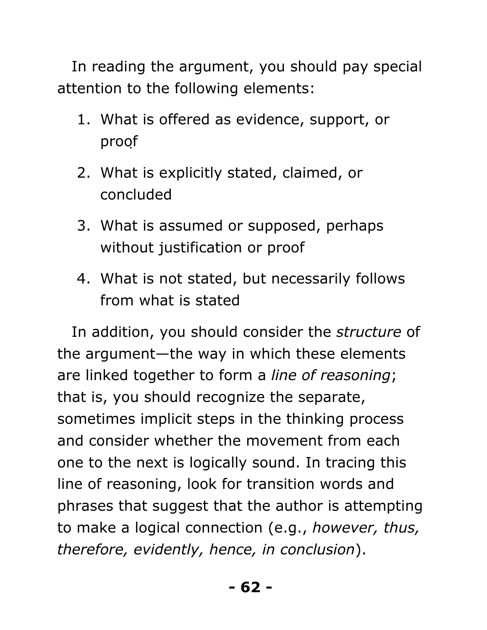In reading the argument, you should pay special attention to the following elements:

- 1. What is offered as evidence, support, or proof
- 2. What is explicitly stated, claimed, or concluded
- 3. What is assumed or supposed, perhaps without justification or proof
- 4. What is not stated, but necessarily follows from what is stated

In addition, you should consider the *structure* of the argument—the way in which these elements are linked together to form a *line of reasoning*; that is, you should recognize the separate, sometimes implicit steps in the thinking process and consider whether the movement from each one to the next is logically sound. In tracing this line of reasoning, look for transition words and phrases that suggest that the author is attempting to make a logical connection (e.g., *however, thus, therefore, evidently, hence, in conclusion*).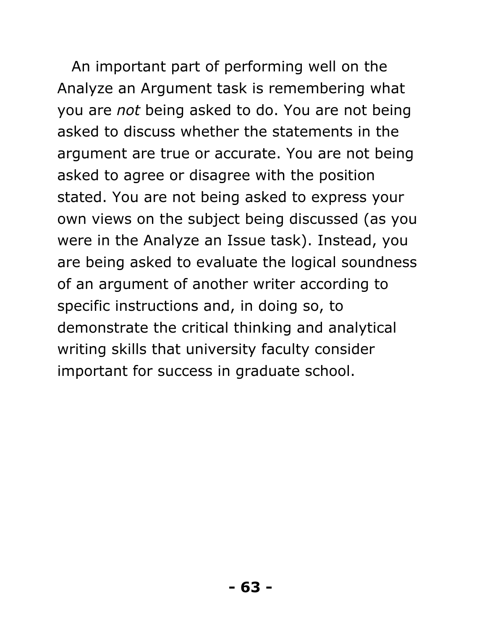An important part of performing well on the Analyze an Argument task is remembering what you are *not* being asked to do. You are not being asked to discuss whether the statements in the argument are true or accurate. You are not being asked to agree or disagree with the position stated. You are not being asked to express your own views on the subject being discussed (as you were in the Analyze an Issue task). Instead, you are being asked to evaluate the logical soundness of an argument of another writer according to specific instructions and, in doing so, to demonstrate the critical thinking and analytical writing skills that university faculty consider important for success in graduate school.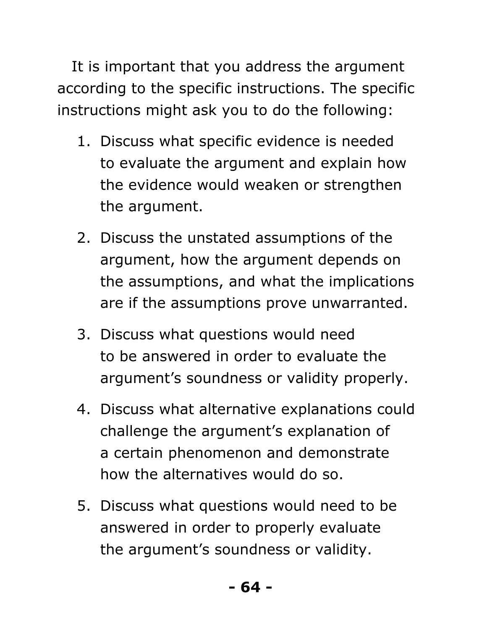It is important that you address the argument according to the specific instructions. The specific instructions might ask you to do the following:

- 1. Discuss what specific evidence is needed to evaluate the argument and explain how the evidence would weaken or strengthen the argument.
- 2. Discuss the unstated assumptions of the argument, how the argument depends on the assumptions, and what the implications are if the assumptions prove unwarranted.
- 3. Discuss what questions would need to be answered in order to evaluate the argument's soundness or validity properly.
- 4. Discuss what alternative explanations could challenge the argument's explanation of a certain phenomenon and demonstrate how the alternatives would do so.
- 5. Discuss what questions would need to be answered in order to properly evaluate the argument's soundness or validity.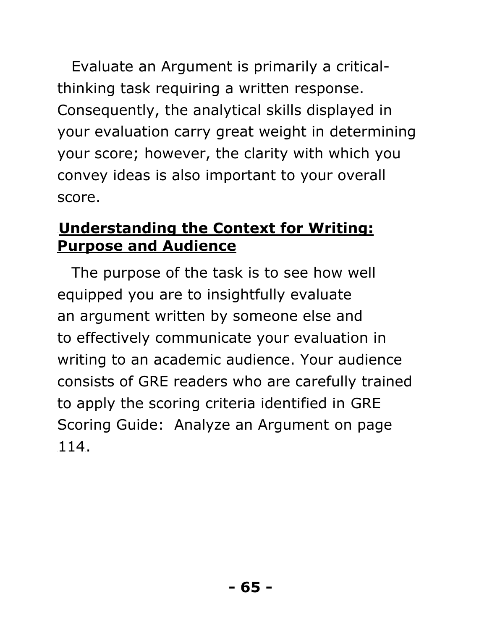Evaluate an Argument is primarily a criticalthinking task requiring a written response. Consequently, the analytical skills displayed in your evaluation carry great weight in determining your score; however, the clarity with which you convey ideas is also important to your overall score.

#### **Understanding the Context for Writing: Purpose and Audience**

The purpose of the task is to see how well equipped you are to insightfully evaluate an argument written by someone else and to effectively communicate your evaluation in writing to an academic audience. Your audience consists of GRE readers who are carefully trained to apply the scoring criteria identified in GRE Scoring Guide: Analyze an Argument on page  $114.$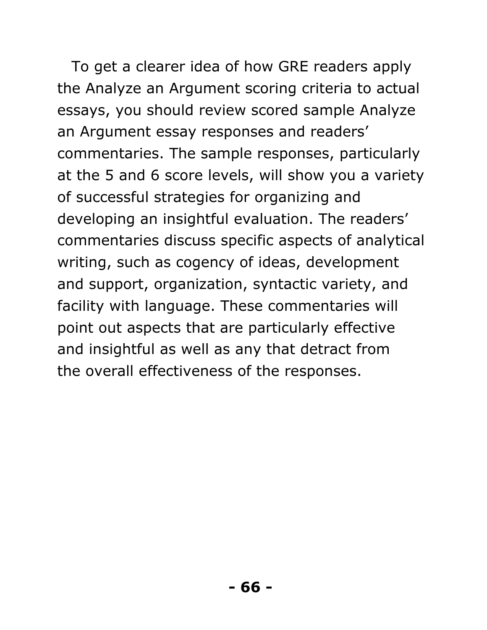To get a clearer idea of how GRE readers apply the Analyze an Argument scoring criteria to actual essays, you should review scored sample Analyze an Argument essay responses and readers' commentaries. The sample responses, particularly at the 5 and 6 score levels, will show you a variety of successful strategies for organizing and developing an insightful evaluation. The readers' commentaries discuss specific aspects of analytical writing, such as cogency of ideas, development and support, organization, syntactic variety, and facility with language. These commentaries will point out aspects that are particularly effective and insightful as well as any that detract from the overall effectiveness of the responses.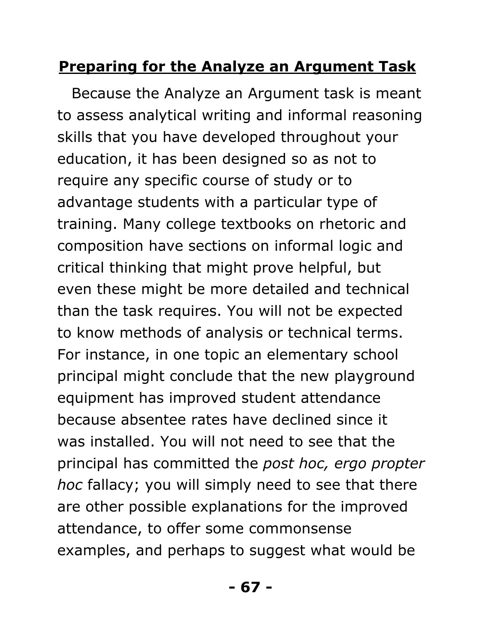# **Preparing for the Analyze an Argument Task**

Because the Analyze an Argument task is meant to assess analytical writing and informal reasoning skills that you have developed throughout your education, it has been designed so as not to require any specific course of study or to advantage students with a particular type of training. Many college textbooks on rhetoric and composition have sections on informal logic and critical thinking that might prove helpful, but even these might be more detailed and technical than the task requires. You will not be expected to know methods of analysis or technical terms. For instance, in one topic an elementary school principal might conclude that the new playground equipment has improved student attendance because absentee rates have declined since it was installed. You will not need to see that the principal has committed the *post hoc, ergo propter hoc* fallacy; you will simply need to see that there are other possible explanations for the improved attendance, to offer some commonsense examples, and perhaps to suggest what would be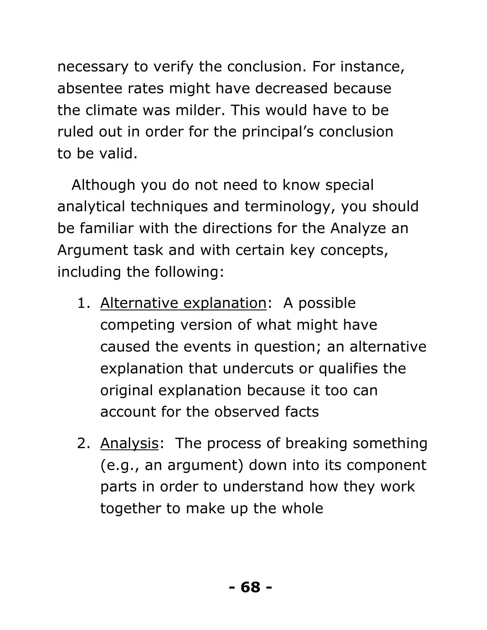necessary to verify the conclusion. For instance, absentee rates might have decreased because the climate was milder. This would have to be ruled out in order for the principal's conclusion to be valid.

Although you do not need to know special analytical techniques and terminology, you should be familiar with the directions for the Analyze an Argument task and with certain key concepts, including the following:

- 1. Alternative explanation: A possible competing version of what might have caused the events in question; an alternative explanation that undercuts or qualifies the original explanation because it too can account for the observed facts
- 2. Analysis: The process of breaking something (e.g., an argument) down into its component parts in order to understand how they work together to make up the whole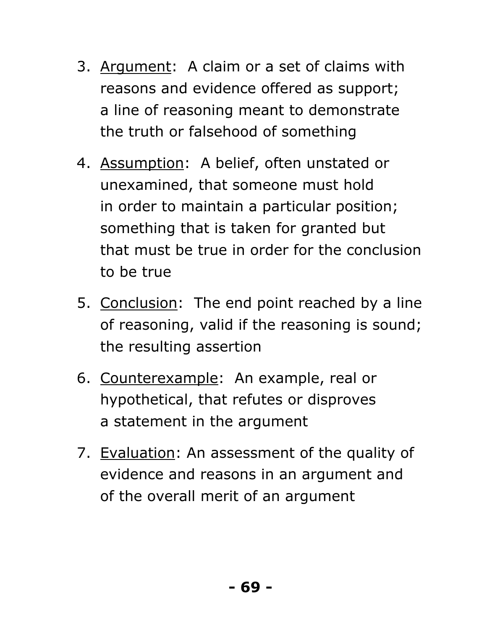- 3. Argument: A claim or a set of claims with reasons and evidence offered as support; a line of reasoning meant to demonstrate the truth or falsehood of something
- 4. Assumption: A belief, often unstated or unexamined, that someone must hold in order to maintain a particular position; something that is taken for granted but that must be true in order for the conclusion to be true
- 5. Conclusion: The end point reached by a line of reasoning, valid if the reasoning is sound; the resulting assertion
- 6. Counterexample: An example, real or hypothetical, that refutes or disproves a statement in the argument
- 7. Evaluation: An assessment of the quality of evidence and reasons in an argument and of the overall merit of an argument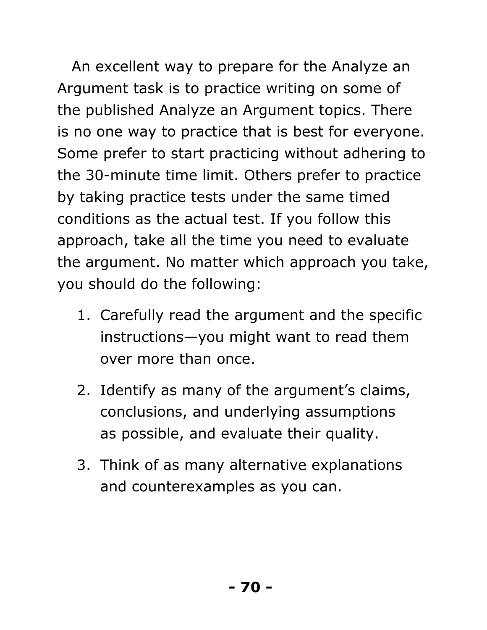An excellent way to prepare for the Analyze an Argument task is to practice writing on some of the published Analyze an Argument topics. There is no one way to practice that is best for everyone. Some prefer to start practicing without adhering to the 30-minute time limit. Others prefer to practice by taking practice tests under the same timed conditions as the actual test. If you follow this approach, take all the time you need to evaluate the argument. No matter which approach you take, you should do the following:

- 1. Carefully read the argument and the specific instructions—you might want to read them over more than once.
- 2. Identify as many of the argument's claims, conclusions, and underlying assumptions as possible, and evaluate their quality.
- 3. Think of as many alternative explanations and counterexamples as you can.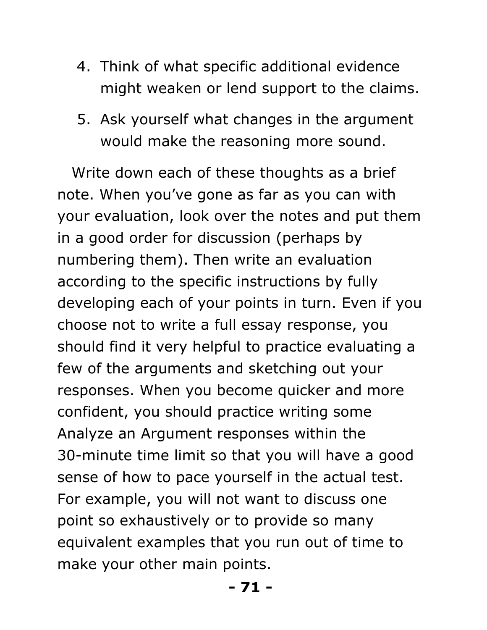- 4. Think of what specific additional evidence might weaken or lend support to the claims.
- 5. Ask yourself what changes in the argument would make the reasoning more sound.

Write down each of these thoughts as a brief note. When you've gone as far as you can with your evaluation, look over the notes and put them in a good order for discussion (perhaps by numbering them). Then write an evaluation according to the specific instructions by fully developing each of your points in turn. Even if you choose not to write a full essay response, you should find it very helpful to practice evaluating a few of the arguments and sketching out your responses. When you become quicker and more confident, you should practice writing some Analyze an Argument responses within the 30-minute time limit so that you will have a good sense of how to pace yourself in the actual test. For example, you will not want to discuss one point so exhaustively or to provide so many equivalent examples that you run out of time to make your other main points.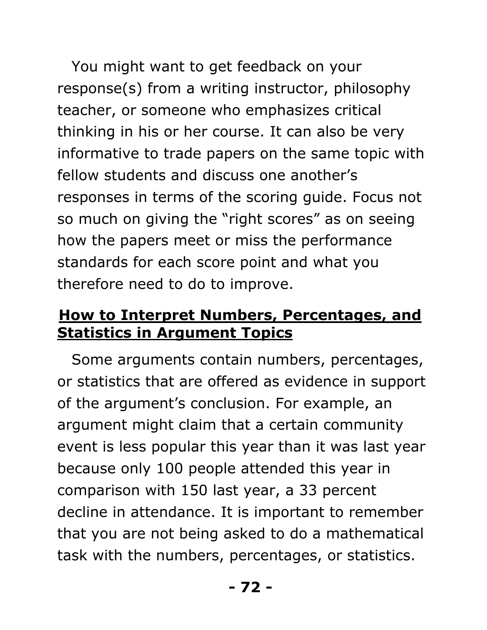You might want to get feedback on your response(s) from a writing instructor, philosophy teacher, or someone who emphasizes critical thinking in his or her course. It can also be very informative to trade papers on the same topic with fellow students and discuss one another's responses in terms of the scoring guide. Focus not so much on giving the "right scores" as on seeing how the papers meet or miss the performance standards for each score point and what you therefore need to do to improve.

#### **How to Interpret Numbers, Percentages, and Statistics in Argument Topics**

Some arguments contain numbers, percentages, or statistics that are offered as evidence in support of the argument's conclusion. For example, an argument might claim that a certain community event is less popular this year than it was last year because only 100 people attended this year in comparison with 150 last year, a 33 percent decline in attendance. It is important to remember that you are not being asked to do a mathematical task with the numbers, percentages, or statistics.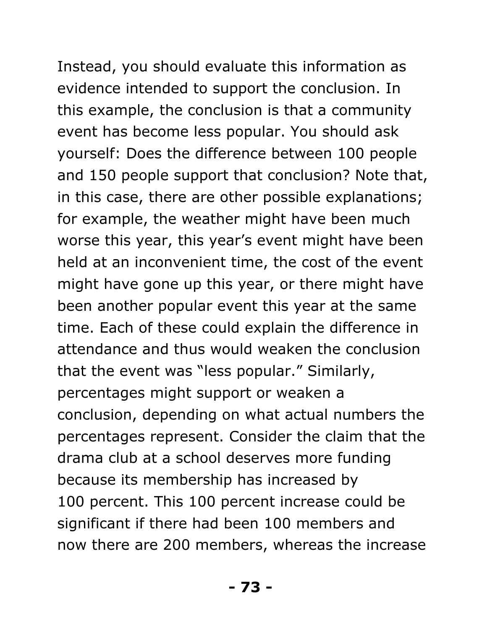# Instead, you should evaluate this information as

evidence intended to support the conclusion. In this example, the conclusion is that a community event has become less popular. You should ask yourself: Does the difference between 100 people and 150 people support that conclusion? Note that, in this case, there are other possible explanations; for example, the weather might have been much worse this year, this year's event might have been held at an inconvenient time, the cost of the event might have gone up this year, or there might have been another popular event this year at the same time. Each of these could explain the difference in attendance and thus would weaken the conclusion that the event was "less popular." Similarly, percentages might support or weaken a conclusion, depending on what actual numbers the percentages represent. Consider the claim that the drama club at a school deserves more funding because its membership has increased by 100 percent. This 100 percent increase could be significant if there had been 100 members and now there are 200 members, whereas the increase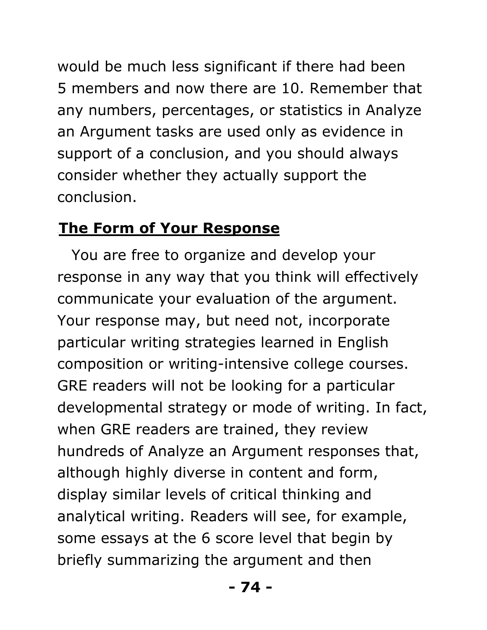would be much less significant if there had been 5 members and now there are 10. Remember that any numbers, percentages, or statistics in Analyze an Argument tasks are used only as evidence in support of a conclusion, and you should always consider whether they actually support the conclusion.

#### **The Form of Your Response**

You are free to organize and develop your response in any way that you think will effectively communicate your evaluation of the argument. Your response may, but need not, incorporate particular writing strategies learned in English composition or writing-intensive college courses. GRE readers will not be looking for a particular developmental strategy or mode of writing. In fact, when GRE readers are trained, they review hundreds of Analyze an Argument responses that, although highly diverse in content and form, display similar levels of critical thinking and analytical writing. Readers will see, for example, some essays at the 6 score level that begin by briefly summarizing the argument and then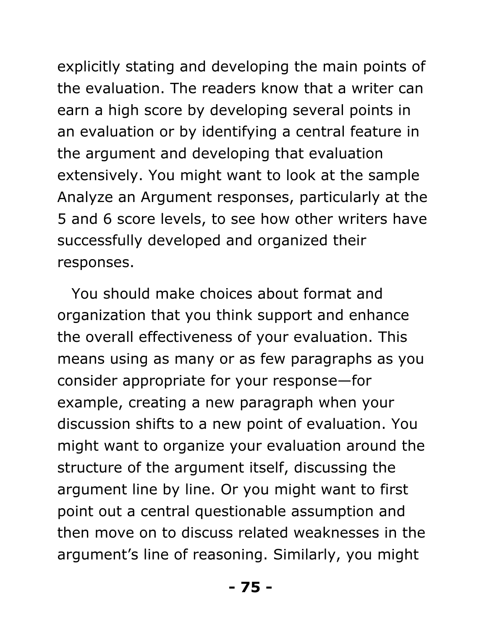explicitly stating and developing the main points of the evaluation. The readers know that a writer can earn a high score by developing several points in an evaluation or by identifying a central feature in the argument and developing that evaluation extensively. You might want to look at the sample Analyze an Argument responses, particularly at the 5 and 6 score levels, to see how other writers have successfully developed and organized their responses.

You should make choices about format and organization that you think support and enhance the overall effectiveness of your evaluation. This means using as many or as few paragraphs as you consider appropriate for your response—for example, creating a new paragraph when your discussion shifts to a new point of evaluation. You might want to organize your evaluation around the structure of the argument itself, discussing the argument line by line. Or you might want to first point out a central questionable assumption and then move on to discuss related weaknesses in the argument's line of reasoning. Similarly, you might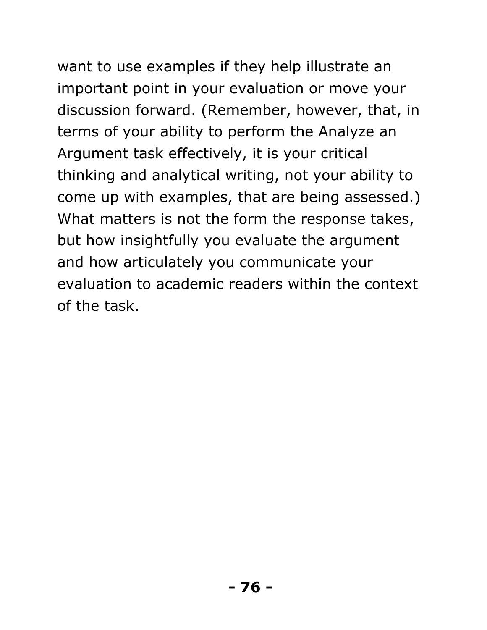# want to use examples if they help illustrate an

important point in your evaluation or move your discussion forward. (Remember, however, that, in terms of your ability to perform the Analyze an Argument task effectively, it is your critical thinking and analytical writing, not your ability to come up with examples, that are being assessed.) What matters is not the form the response takes, but how insightfully you evaluate the argument and how articulately you communicate your evaluation to academic readers within the context of the task.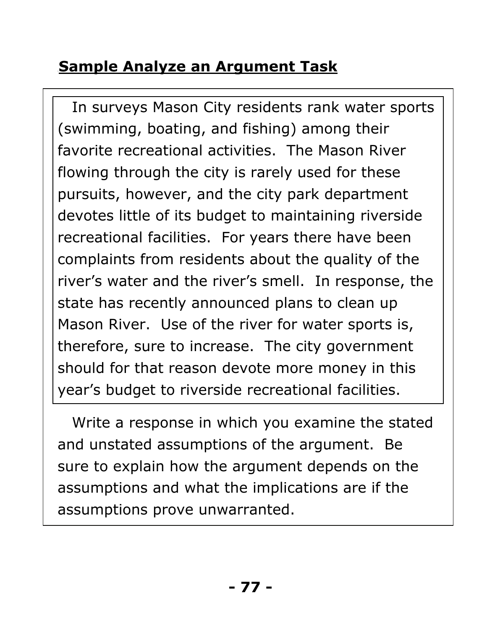# **<u>Sample Analyze an Argument Task</u>**

In surveys Mason City residents rank water sports (swimming, boating, and fishing) among their favorite recreational activities. The Mason River flowing through the city is rarely used for these pursuits, however, and the city park department devotes little of its budget to maintaining riverside recreational facilities. For years there have been complaints from residents about the quality of the river's water and the river's smell. In response, the state has recently announced plans to clean up Mason River. Use of the river for water sports is, therefore, sure to increase. The city government should for that reason devote more money in this year's budget to riverside recreational facilities.

Write a response in which you examine the stated and unstated assumptions of the argument. Be sure to explain how the argument depends on the assumptions and what the implications are if the assumptions prove unwarranted.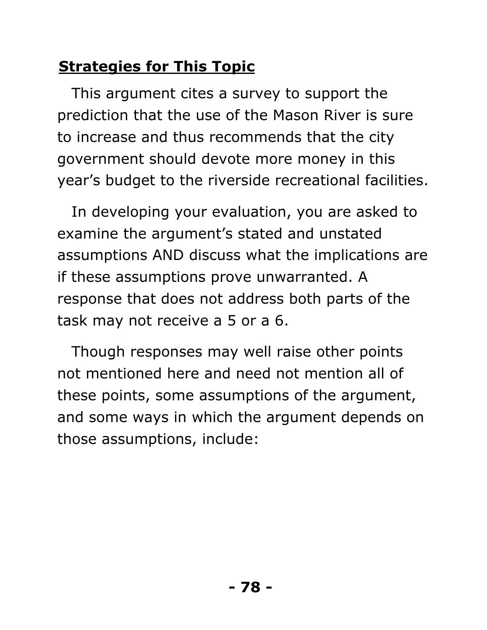# **Strategies for This Topic**

This argument cites a survey to support the prediction that the use of the Mason River is sure to increase and thus recommends that the city government should devote more money in this year's budget to the riverside recreational facilities.

In developing your evaluation, you are asked to examine the argument's stated and unstated assumptions AND discuss what the implications are if these assumptions prove unwarranted. A response that does not address both parts of the task may not receive a 5 or a 6.

Though responses may well raise other points not mentioned here and need not mention all of these points, some assumptions of the argument, and some ways in which the argument depends on those assumptions, include: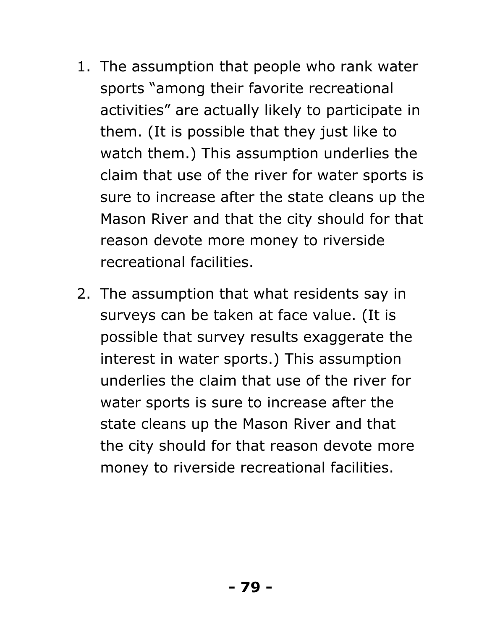- 1. The assumption that people who rank water sports "among their favorite recreational activities" are actually likely to participate in them. (It is possible that they just like to watch them.) This assumption underlies the claim that use of the river for water sports is sure to increase after the state cleans up the Mason River and that the city should for that reason devote more money to riverside recreational facilities.
- 2. The assumption that what residents say in surveys can be taken at face value. (It is possible that survey results exaggerate the interest in water sports.) This assumption underlies the claim that use of the river for water sports is sure to increase after the state cleans up the Mason River and that the city should for that reason devote more money to riverside recreational facilities.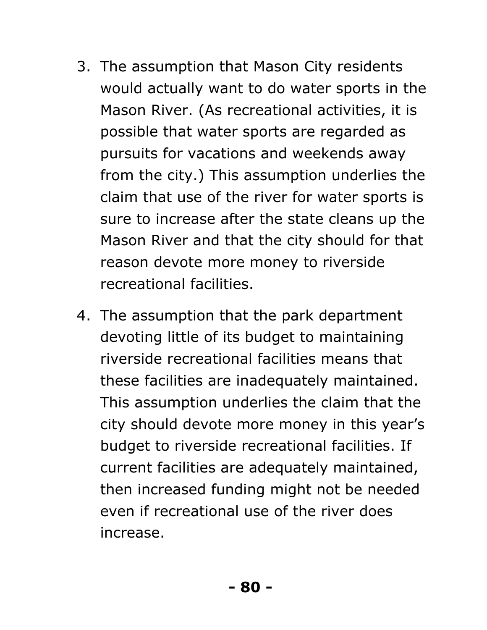- 3. The assumption that Mason City residents would actually want to do water sports in the Mason River. (As recreational activities, it is possible that water sports are regarded as pursuits for vacations and weekends away from the city.) This assumption underlies the claim that use of the river for water sports is sure to increase after the state cleans up the Mason River and that the city should for that reason devote more money to riverside recreational facilities.
- 4. The assumption that the park department devoting little of its budget to maintaining riverside recreational facilities means that these facilities are inadequately maintained. This assumption underlies the claim that the city should devote more money in this year's budget to riverside recreational facilities. If current facilities are adequately maintained, then increased funding might not be needed even if recreational use of the river does increase.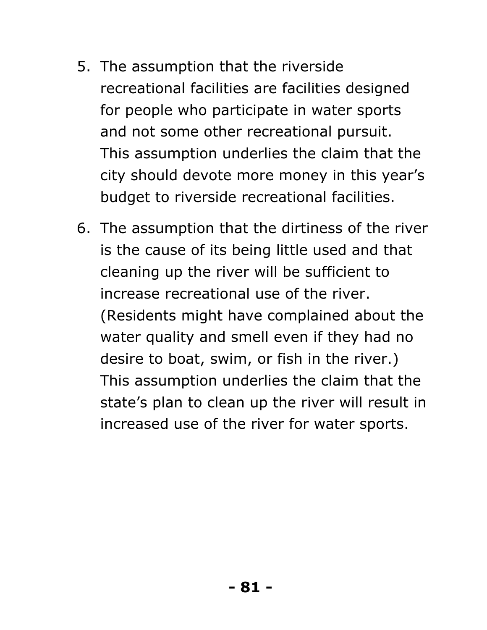- 5. The assumption that the riverside recreational facilities are facilities designed for people who participate in water sports and not some other recreational pursuit. This assumption underlies the claim that the city should devote more money in this year's budget to riverside recreational facilities.
- 6. The assumption that the dirtiness of the river is the cause of its being little used and that cleaning up the river will be sufficient to increase recreational use of the river. (Residents might have complained about the water quality and smell even if they had no desire to boat, swim, or fish in the river.) This assumption underlies the claim that the state's plan to clean up the river will result in increased use of the river for water sports.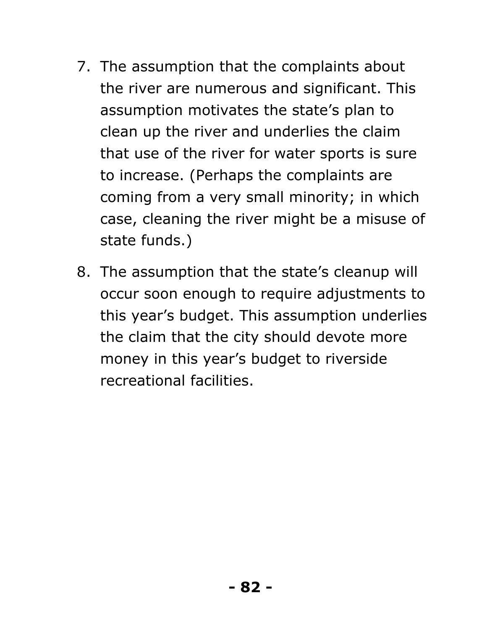- 7. The assumption that the complaints about the river are numerous and significant. This assumption motivates the state's plan to clean up the river and underlies the claim that use of the river for water sports is sure to increase. (Perhaps the complaints are coming from a very small minority; in which case, cleaning the river might be a misuse of state funds.)
- 8. The assumption that the state's cleanup will occur soon enough to require adjustments to this year's budget. This assumption underlies the claim that the city should devote more money in this year's budget to riverside recreational facilities.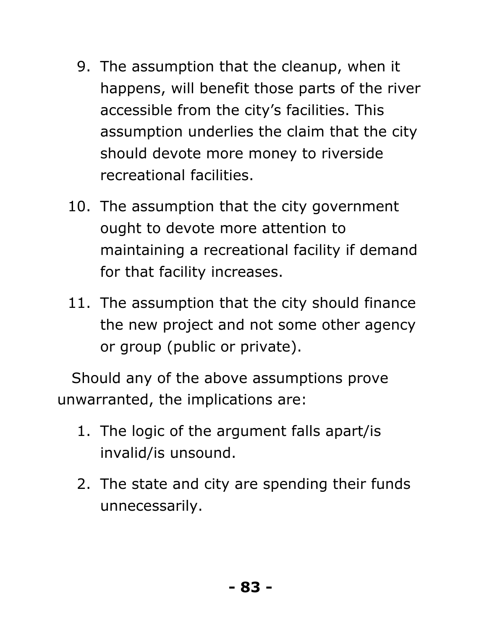- 9. The assumption that the cleanup, when it happens, will benefit those parts of the river accessible from the city's facilities. This assumption underlies the claim that the city should devote more money to riverside recreational facilities.
- 10. The assumption that the city government ought to devote more attention to maintaining a recreational facility if demand for that facility increases.
- 11. The assumption that the city should finance the new project and not some other agency or group (public or private).

Should any of the above assumptions prove unwarranted, the implications are:

- 1. The logic of the argument falls apart/is invalid/is unsound.
- 2. The state and city are spending their funds unnecessarily.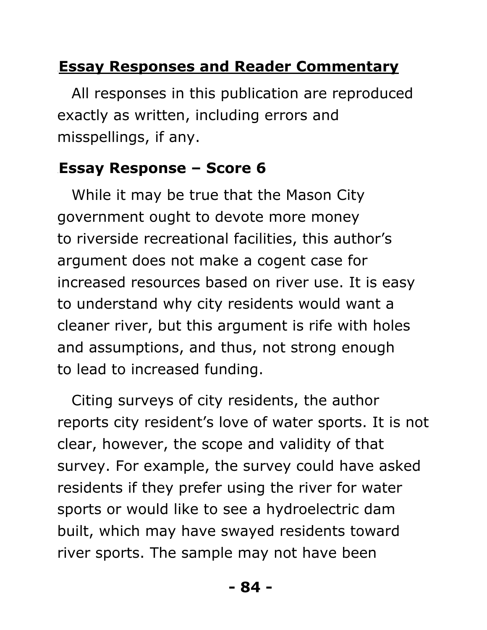# **Essay Responses and Reader Commentary**

All responses in this publication are reproduced exactly as written, including errors and misspellings, if any.

# 53B**Essay Response – Score 6**

While it may be true that the Mason City government ought to devote more money to riverside recreational facilities, this author's argument does not make a cogent case for increased resources based on river use. It is easy to understand why city residents would want a cleaner river, but this argument is rife with holes and assumptions, and thus, not strong enough to lead to increased funding.

Citing surveys of city residents, the author reports city resident's love of water sports. It is not clear, however, the scope and validity of that survey. For example, the survey could have asked residents if they prefer using the river for water sports or would like to see a hydroelectric dam built, which may have swayed residents toward river sports. The sample may not have been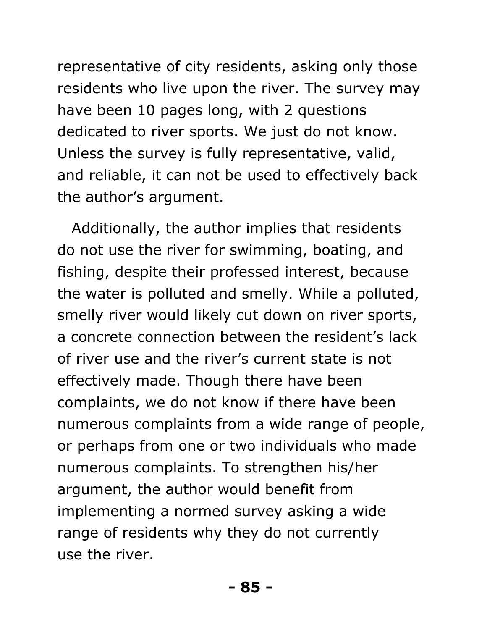representative of city residents, asking only those residents who live upon the river. The survey may have been 10 pages long, with 2 questions dedicated to river sports. We just do not know. Unless the survey is fully representative, valid, and reliable, it can not be used to effectively back the author's argument.

Additionally, the author implies that residents do not use the river for swimming, boating, and fishing, despite their professed interest, because the water is polluted and smelly. While a polluted, smelly river would likely cut down on river sports, a concrete connection between the resident's lack of river use and the river's current state is not effectively made. Though there have been complaints, we do not know if there have been numerous complaints from a wide range of people, or perhaps from one or two individuals who made numerous complaints. To strengthen his/her argument, the author would benefit from implementing a normed survey asking a wide range of residents why they do not currently use the river.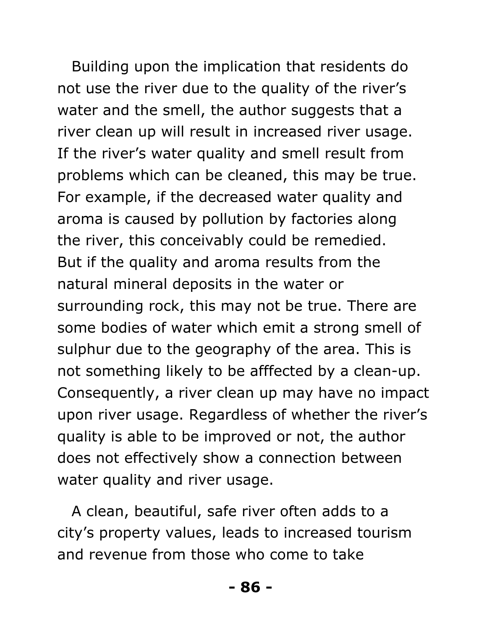Building upon the implication that residents do not use the river due to the quality of the river's water and the smell, the author suggests that a river clean up will result in increased river usage. If the river's water quality and smell result from problems which can be cleaned, this may be true. For example, if the decreased water quality and aroma is caused by pollution by factories along the river, this conceivably could be remedied. But if the quality and aroma results from the natural mineral deposits in the water or surrounding rock, this may not be true. There are some bodies of water which emit a strong smell of sulphur due to the geography of the area. This is not something likely to be afffected by a clean-up. Consequently, a river clean up may have no impact upon river usage. Regardless of whether the river's quality is able to be improved or not, the author does not effectively show a connection between water quality and river usage.

A clean, beautiful, safe river often adds to a city's property values, leads to increased tourism and revenue from those who come to take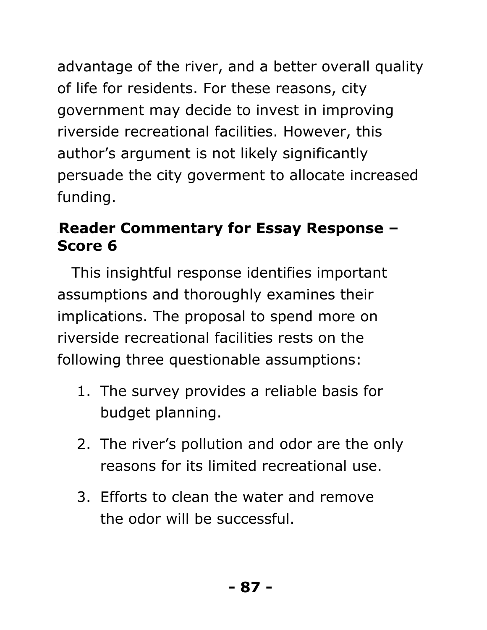advantage of the river, and a better overall quality of life for residents. For these reasons, city government may decide to invest in improving riverside recreational facilities. However, this author's argument is not likely significantly persuade the city goverment to allocate increased funding.

# 54B**Reader Commentary for Essay Response – Score 6**

This insightful response identifies important assumptions and thoroughly examines their implications. The proposal to spend more on riverside recreational facilities rests on the following three questionable assumptions:

- 1. The survey provides a reliable basis for budget planning.
- 2. The river's pollution and odor are the only reasons for its limited recreational use.
- 3. Efforts to clean the water and remove the odor will be successful.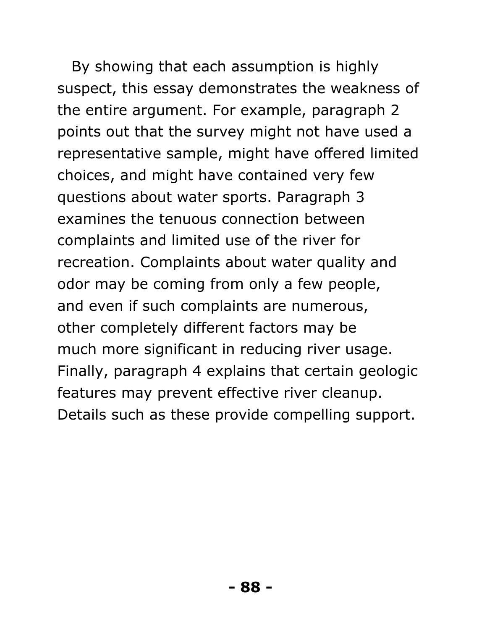By showing that each assumption is highly suspect, this essay demonstrates the weakness of the entire argument. For example, paragraph 2 points out that the survey might not have used a representative sample, might have offered limited choices, and might have contained very few questions about water sports. Paragraph 3 examines the tenuous connection between complaints and limited use of the river for recreation. Complaints about water quality and odor may be coming from only a few people, and even if such complaints are numerous, other completely different factors may be much more significant in reducing river usage. Finally, paragraph 4 explains that certain geologic features may prevent effective river cleanup. Details such as these provide compelling support.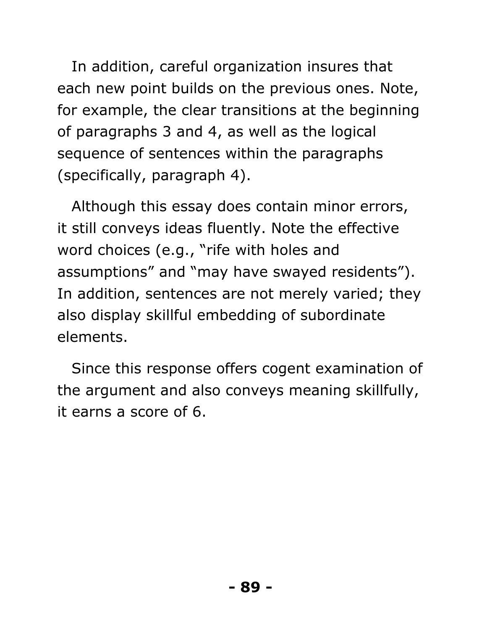In addition, careful organization insures that each new point builds on the previous ones. Note, for example, the clear transitions at the beginning of paragraphs 3 and 4, as well as the logical sequence of sentences within the paragraphs (specifically, paragraph 4).

Although this essay does contain minor errors, it still conveys ideas fluently. Note the effective word choices (e.g., "rife with holes and assumptions" and "may have swayed residents"). In addition, sentences are not merely varied; they also display skillful embedding of subordinate elements.

Since this response offers cogent examination of the argument and also conveys meaning skillfully, it earns a score of 6.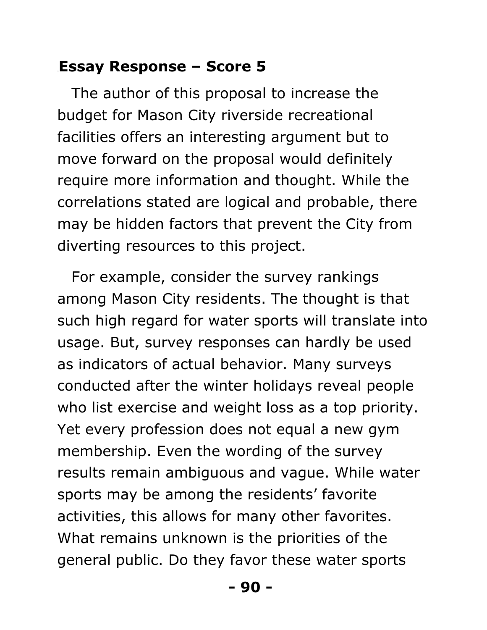#### 55B**Essay Response – Score 5**

The author of this proposal to increase the budget for Mason City riverside recreational facilities offers an interesting argument but to move forward on the proposal would definitely require more information and thought. While the correlations stated are logical and probable, there may be hidden factors that prevent the City from diverting resources to this project.

For example, consider the survey rankings among Mason City residents. The thought is that such high regard for water sports will translate into usage. But, survey responses can hardly be used as indicators of actual behavior. Many surveys conducted after the winter holidays reveal people who list exercise and weight loss as a top priority. Yet every profession does not equal a new gym membership. Even the wording of the survey results remain ambiguous and vague. While water sports may be among the residents' favorite activities, this allows for many other favorites. What remains unknown is the priorities of the general public. Do they favor these water sports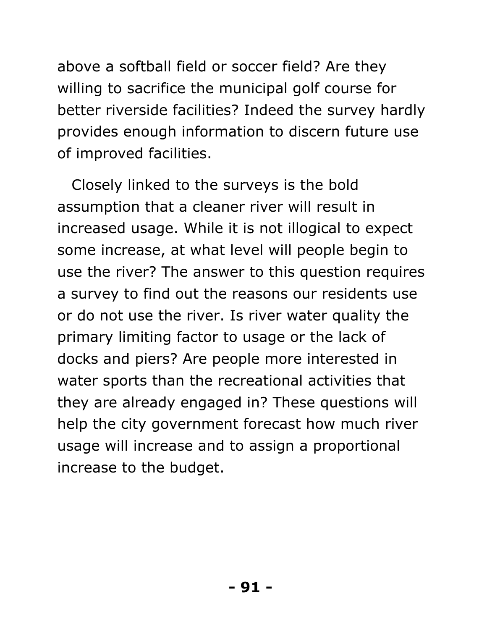above a softball field or soccer field? Are they willing to sacrifice the municipal golf course for better riverside facilities? Indeed the survey hardly provides enough information to discern future use of improved facilities.

Closely linked to the surveys is the bold assumption that a cleaner river will result in increased usage. While it is not illogical to expect some increase, at what level will people begin to use the river? The answer to this question requires a survey to find out the reasons our residents use or do not use the river. Is river water quality the primary limiting factor to usage or the lack of docks and piers? Are people more interested in water sports than the recreational activities that they are already engaged in? These questions will help the city government forecast how much river usage will increase and to assign a proportional increase to the budget.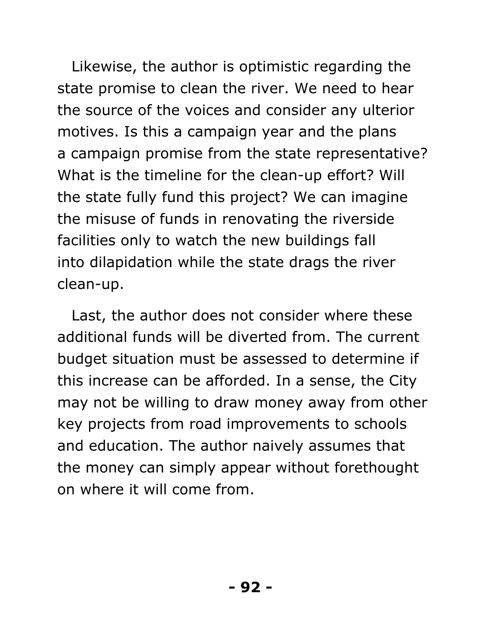Likewise, the author is optimistic regarding the state promise to clean the river. We need to hear the source of the voices and consider any ulterior motives. Is this a campaign year and the plans a campaign promise from the state representative? What is the timeline for the clean-up effort? Will the state fully fund this project? We can imagine the misuse of funds in renovating the riverside facilities only to watch the new buildings fall into dilapidation while the state drags the river clean-up.

Last, the author does not consider where these additional funds will be diverted from. The current budget situation must be assessed to determine if this increase can be afforded. In a sense, the City may not be willing to draw money away from other key projects from road improvements to schools and education. The author naively assumes that the money can simply appear without forethought on where it will come from.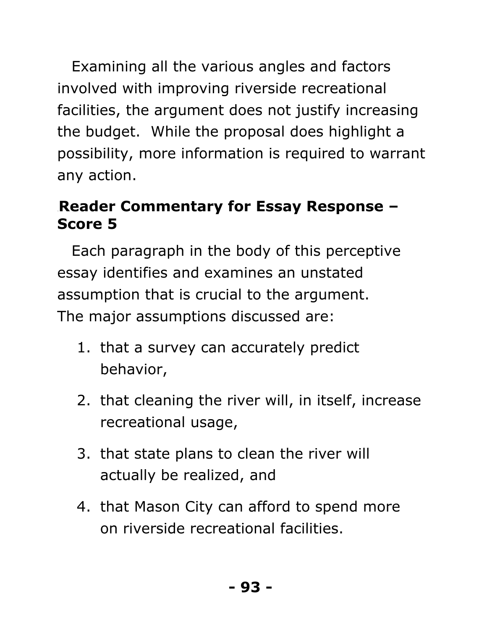Examining all the various angles and factors involved with improving riverside recreational facilities, the argument does not justify increasing the budget. While the proposal does highlight a possibility, more information is required to warrant any action.

# 56B**Reader Commentary for Essay Response – Score 5**

Each paragraph in the body of this perceptive essay identifies and examines an unstated assumption that is crucial to the argument. The major assumptions discussed are:

- 1. that a survey can accurately predict behavior,
- 2. that cleaning the river will, in itself, increase recreational usage,
- 3. that state plans to clean the river will actually be realized, and
- 4. that Mason City can afford to spend more on riverside recreational facilities.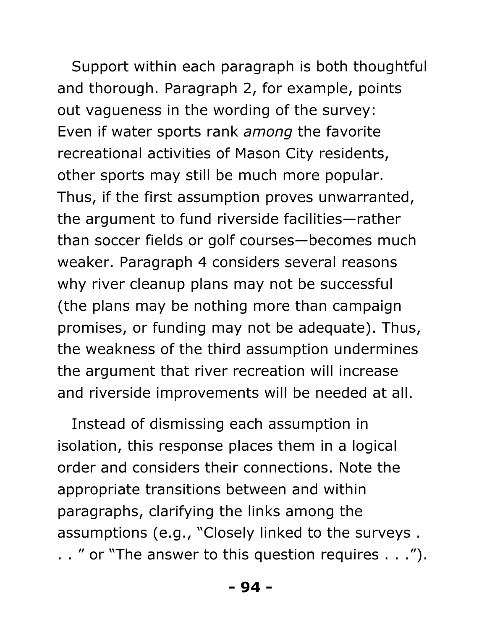Support within each paragraph is both thoughtful and thorough. Paragraph 2, for example, points out vagueness in the wording of the survey: Even if water sports rank *among* the favorite recreational activities of Mason City residents, other sports may still be much more popular. Thus, if the first assumption proves unwarranted, the argument to fund riverside facilities—rather than soccer fields or golf courses—becomes much weaker. Paragraph 4 considers several reasons why river cleanup plans may not be successful (the plans may be nothing more than campaign promises, or funding may not be adequate). Thus, the weakness of the third assumption undermines the argument that river recreation will increase and riverside improvements will be needed at all.

Instead of dismissing each assumption in isolation, this response places them in a logical order and considers their connections. Note the appropriate transitions between and within paragraphs, clarifying the links among the assumptions (e.g., "Closely linked to the surveys . . . " or "The answer to this question requires . . .").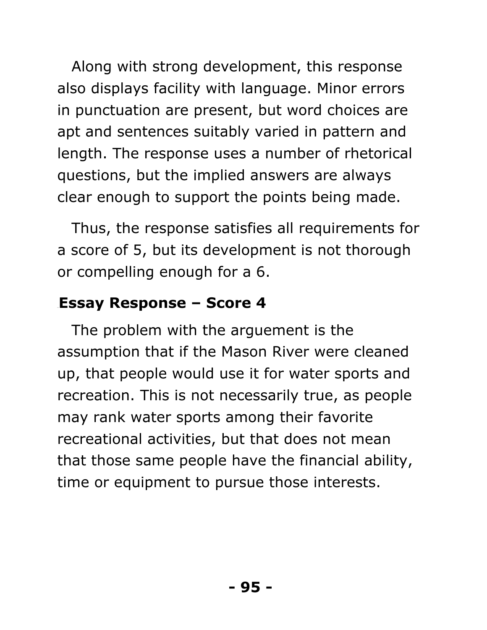Along with strong development, this response also displays facility with language. Minor errors in punctuation are present, but word choices are apt and sentences suitably varied in pattern and length. The response uses a number of rhetorical questions, but the implied answers are always clear enough to support the points being made.

Thus, the response satisfies all requirements for a score of 5, but its development is not thorough or compelling enough for a 6.

#### **Essay Response – Score 4**

The problem with the arguement is the assumption that if the Mason River were cleaned up, that people would use it for water sports and recreation. This is not necessarily true, as people may rank water sports among their favorite recreational activities, but that does not mean that those same people have the financial ability, time or equipment to pursue those interests.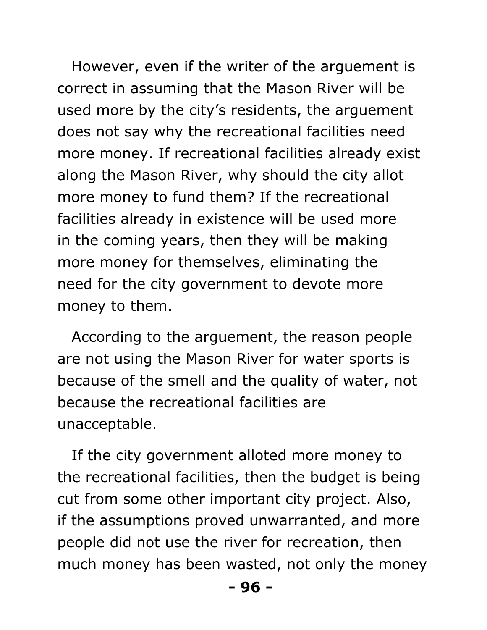However, even if the writer of the arguement is correct in assuming that the Mason River will be used more by the city's residents, the arguement does not say why the recreational facilities need more money. If recreational facilities already exist along the Mason River, why should the city allot more money to fund them? If the recreational facilities already in existence will be used more in the coming years, then they will be making more money for themselves, eliminating the need for the city government to devote more money to them.

According to the arguement, the reason people are not using the Mason River for water sports is because of the smell and the quality of water, not because the recreational facilities are unacceptable.

If the city government alloted more money to the recreational facilities, then the budget is being cut from some other important city project. Also, if the assumptions proved unwarranted, and more people did not use the river for recreation, then much money has been wasted, not only the money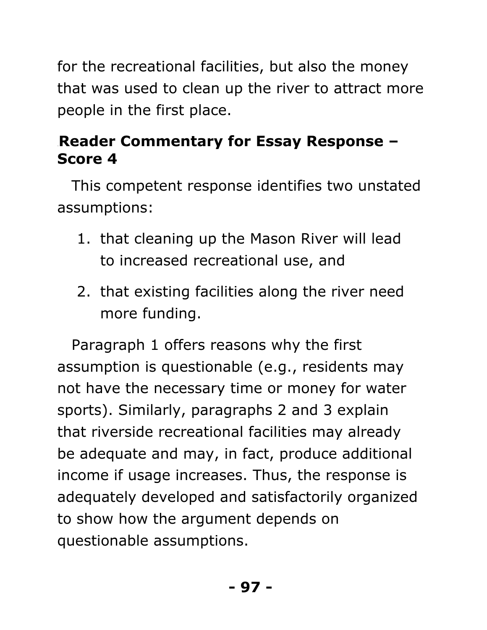for the recreational facilities, but also the money that was used to clean up the river to attract more people in the first place.

# 58B**Reader Commentary for Essay Response – Score 4**

This competent response identifies two unstated assumptions:

- 1. that cleaning up the Mason River will lead to increased recreational use, and
- 2. that existing facilities along the river need more funding.

Paragraph 1 offers reasons why the first assumption is questionable (e.g., residents may not have the necessary time or money for water sports). Similarly, paragraphs 2 and 3 explain that riverside recreational facilities may already be adequate and may, in fact, produce additional income if usage increases. Thus, the response is adequately developed and satisfactorily organized to show how the argument depends on questionable assumptions.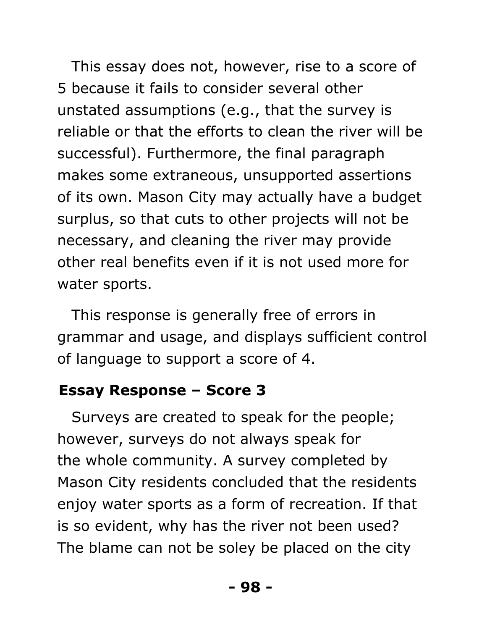This essay does not, however, rise to a score of 5 because it fails to consider several other unstated assumptions (e.g., that the survey is reliable or that the efforts to clean the river will be successful). Furthermore, the final paragraph makes some extraneous, unsupported assertions of its own. Mason City may actually have a budget surplus, so that cuts to other projects will not be necessary, and cleaning the river may provide other real benefits even if it is not used more for water sports.

This response is generally free of errors in grammar and usage, and displays sufficient control of language to support a score of 4.

#### 59B**Essay Response – Score 3**

Surveys are created to speak for the people; however, surveys do not always speak for the whole community. A survey completed by Mason City residents concluded that the residents enjoy water sports as a form of recreation. If that is so evident, why has the river not been used? The blame can not be soley be placed on the city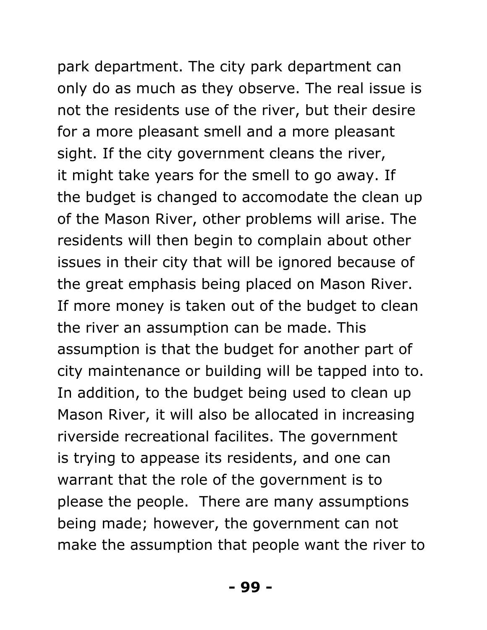park department. The city park department can only do as much as they observe. The real issue is not the residents use of the river, but their desire for a more pleasant smell and a more pleasant sight. If the city government cleans the river, it might take years for the smell to go away. If the budget is changed to accomodate the clean up of the Mason River, other problems will arise. The residents will then begin to complain about other issues in their city that will be ignored because of the great emphasis being placed on Mason River. If more money is taken out of the budget to clean the river an assumption can be made. This assumption is that the budget for another part of city maintenance or building will be tapped into to. In addition, to the budget being used to clean up Mason River, it will also be allocated in increasing riverside recreational facilites. The government is trying to appease its residents, and one can warrant that the role of the government is to please the people. There are many assumptions being made; however, the government can not make the assumption that people want the river to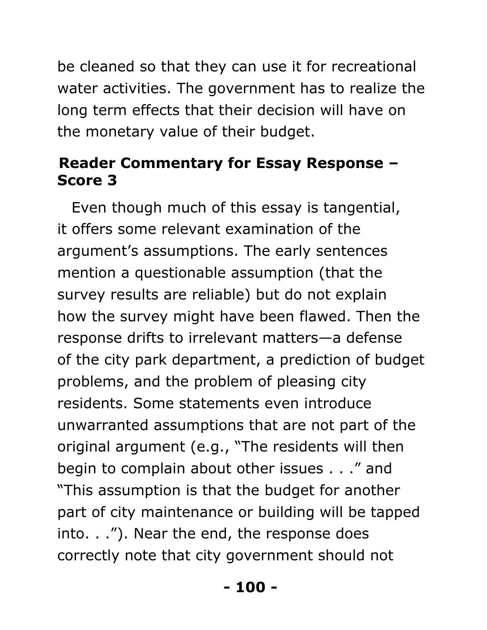be cleaned so that they can use it for recreational water activities. The government has to realize the long term effects that their decision will have on the monetary value of their budget.

#### **Reader Commentary for Essay Response -Score 3**

Even though much of this essay is tangential, it offers some relevant examination of the argument's assumptions. The early sentences mention a questionable assumption (that the survey results are reliable) but do not explain how the survey might have been flawed. Then the response drifts to irrelevant matters—a defense of the city park department, a prediction of budget problems, and the problem of pleasing city residents. Some statements even introduce unwarranted assumptions that are not part of the original argument (e.g., "The residents will then begin to complain about other issues . . ." and "This assumption is that the budget for another part of city maintenance or building will be tapped into. . ."). Near the end, the response does correctly note that city government should not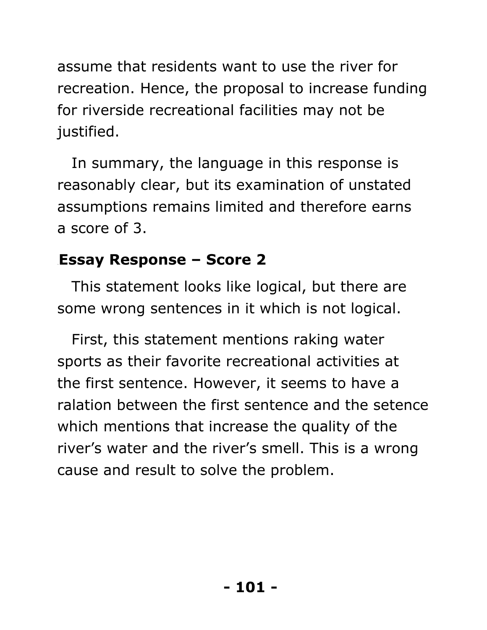assume that residents want to use the river for recreation. Hence, the proposal to increase funding for riverside recreational facilities may not be justified.

In summary, the language in this response is reasonably clear, but its examination of unstated assumptions remains limited and therefore earns a score of 3.

# 61B**Essay Response – Score 2**

This statement looks like logical, but there are some wrong sentences in it which is not logical.

First, this statement mentions raking water sports as their favorite recreational activities at the first sentence. However, it seems to have a ralation between the first sentence and the setence which mentions that increase the quality of the river's water and the river's smell. This is a wrong cause and result to solve the problem.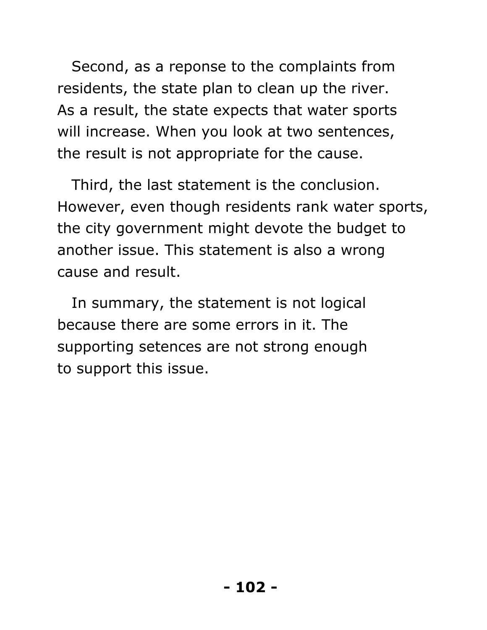Second, as a reponse to the complaints from residents, the state plan to clean up the river. As a result, the state expects that water sports will increase. When you look at two sentences, the result is not appropriate for the cause.

Third, the last statement is the conclusion. However, even though residents rank water sports, the city government might devote the budget to another issue. This statement is also a wrong cause and result.

In summary, the statement is not logical because there are some errors in it. The supporting setences are not strong enough to support this issue.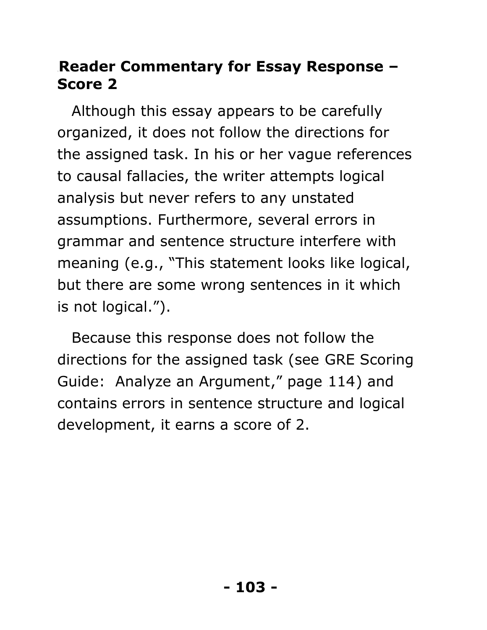#### **Reader Commentary for Essay Response -Score 2**

Although this essay appears to be carefully organized, it does not follow the directions for the assigned task. In his or her vague references to causal fallacies, the writer attempts logical analysis but never refers to any unstated assumptions. Furthermore, several errors in grammar and sentence structure interfere with meaning (e.g., "This statement looks like logical, but there are some wrong sentences in it which is not logical.").

Because this response does not follow the directions for the assigned task (see GRE Scoring Guide: Analyze an Argument," page 114) and contains errors in sentence structure and logical development, it earns a score of 2.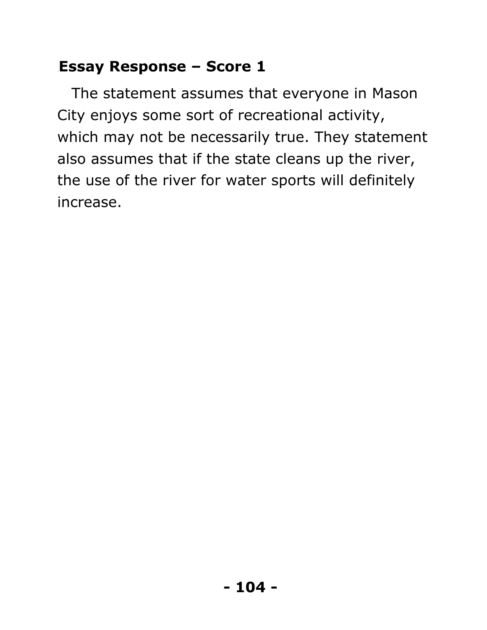# 63B**Essay Response – Score 1**

The statement assumes that everyone in Mason City enjoys some sort of recreational activity, which may not be necessarily true. They statement also assumes that if the state cleans up the river, the use of the river for water sports will definitely increase.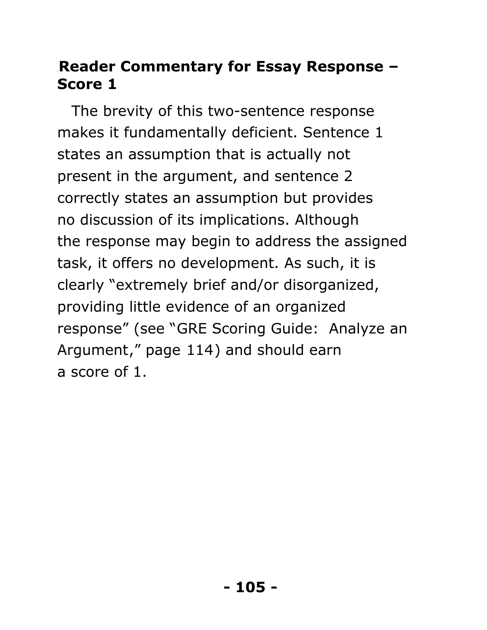#### 64B**Reader Commentary for Essay Response – Score 1**

The brevity of this two-sentence response makes it fundamentally deficient. Sentence 1 states an assumption that is actually not present in the argument, and sentence 2 correctly states an assumption but provides no discussion of its implications. Although the response may begin to address the assigned task, it offers no development. As such, it is clearly "extremely brief and/or disorganized, providing little evidence of an organized response" (see "GRE Scoring Guide: Analyze an Argument," page  $114$ ) and should earn a score of 1.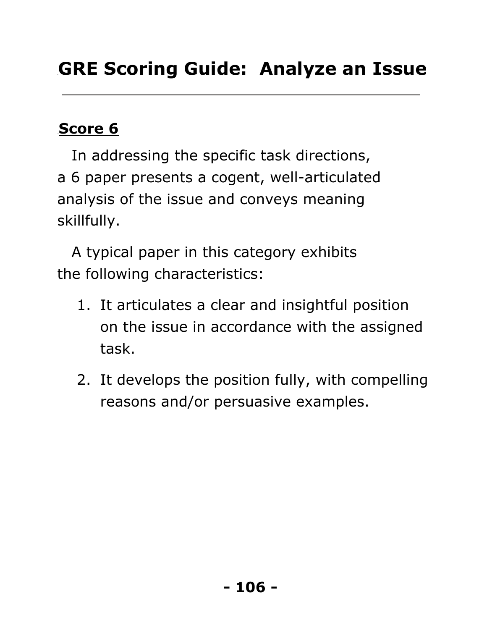# **Score 6**

In addressing the specific task directions, a 6 paper presents a cogent, well-articulated analysis of the issue and conveys meaning skillfully.

A typical paper in this category exhibits the following characteristics:

- 1. It articulates a clear and insightful position on the issue in accordance with the assigned task.
- 2. It develops the position fully, with compelling reasons and/or persuasive examples.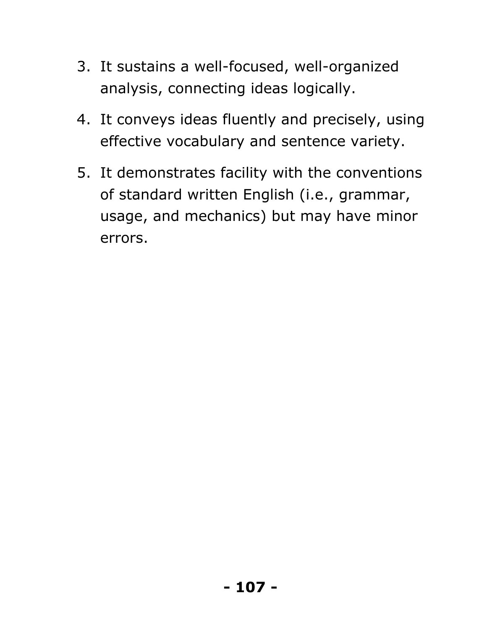- 3. It sustains a well-focused, well-organized analysis, connecting ideas logically.
- 4. It conveys ideas fluently and precisely, using effective vocabulary and sentence variety.
- 5. It demonstrates facility with the conventions of standard written English (i.e., grammar, usage, and mechanics) but may have minor errors.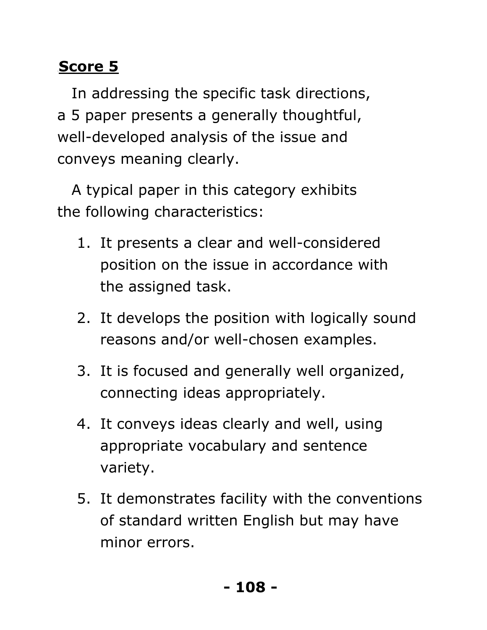# **Score 5**

In addressing the specific task directions, a 5 paper presents a generally thoughtful, well-developed analysis of the issue and conveys meaning clearly.

A typical paper in this category exhibits the following characteristics:

- 1. It presents a clear and well-considered position on the issue in accordance with the assigned task.
- 2. It develops the position with logically sound reasons and/or well-chosen examples.
- 3. It is focused and generally well organized, connecting ideas appropriately.
- 4. It conveys ideas clearly and well, using appropriate vocabulary and sentence variety.
- 5. It demonstrates facility with the conventions of standard written English but may have minor errors.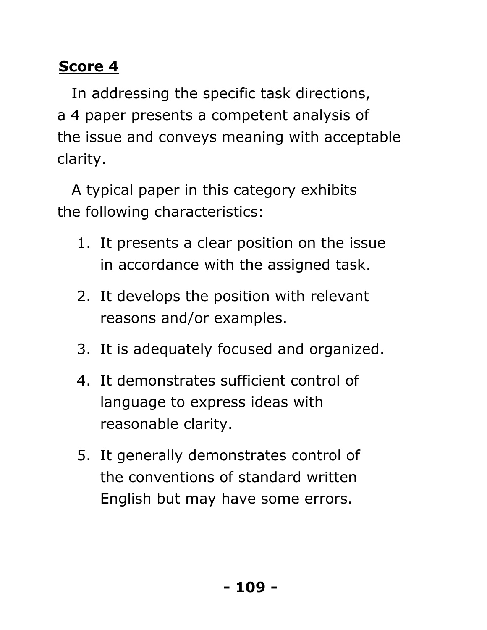In addressing the specific task directions, a 4 paper presents a competent analysis of the issue and conveys meaning with acceptable clarity.

A typical paper in this category exhibits the following characteristics:

- 1. It presents a clear position on the issue in accordance with the assigned task.
- 2. It develops the position with relevant reasons and/or examples.
- 3. It is adequately focused and organized.
- 4. It demonstrates sufficient control of language to express ideas with reasonable clarity.
- 5. It generally demonstrates control of the conventions of standard written English but may have some errors.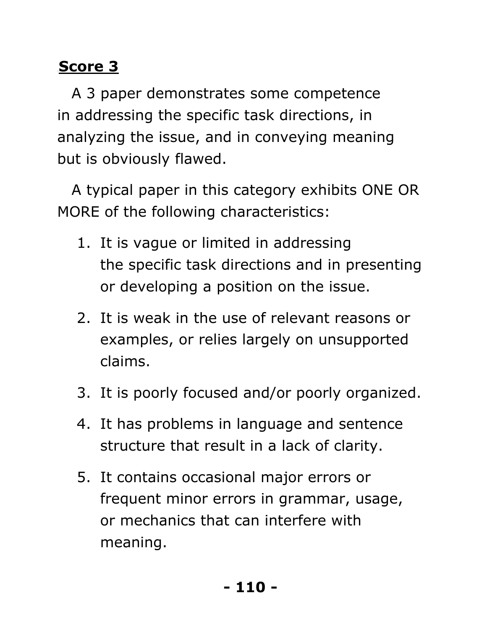A 3 paper demonstrates some competence in addressing the specific task directions, in analyzing the issue, and in conveying meaning but is obviously flawed.

A typical paper in this category exhibits ONE OR MORE of the following characteristics:

- 1. It is vague or limited in addressing the specific task directions and in presenting or developing a position on the issue.
- 2. It is weak in the use of relevant reasons or examples, or relies largely on unsupported claims.
- 3. It is poorly focused and/or poorly organized.
- 4. It has problems in language and sentence structure that result in a lack of clarity.
- 5. It contains occasional major errors or frequent minor errors in grammar, usage, or mechanics that can interfere with meaning.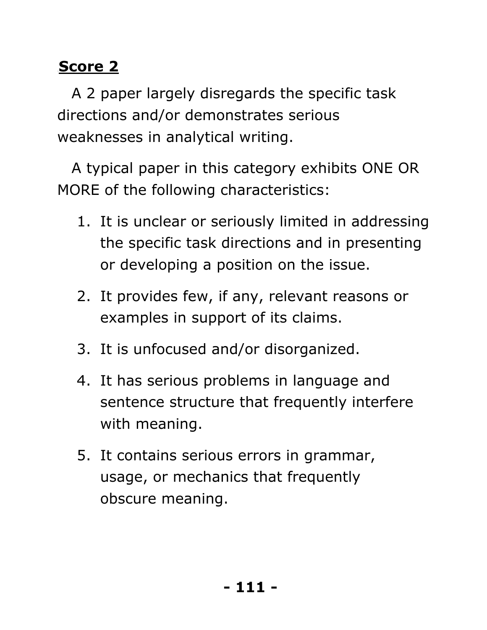A 2 paper largely disregards the specific task directions and/or demonstrates serious weaknesses in analytical writing.

A typical paper in this category exhibits ONE OR MORE of the following characteristics:

- 1. It is unclear or seriously limited in addressing the specific task directions and in presenting or developing a position on the issue.
- 2. It provides few, if any, relevant reasons or examples in support of its claims.
- 3. It is unfocused and/or disorganized.
- 4. It has serious problems in language and sentence structure that frequently interfere with meaning.
- 5. It contains serious errors in grammar, usage, or mechanics that frequently obscure meaning.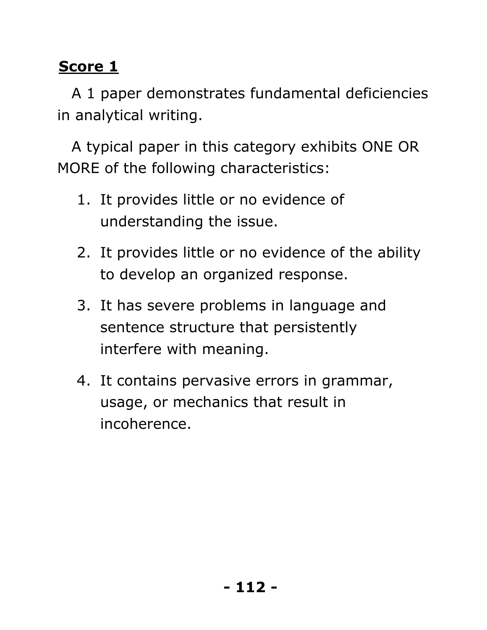A 1 paper demonstrates fundamental deficiencies in analytical writing.

A typical paper in this category exhibits ONE OR MORE of the following characteristics:

- 1. It provides little or no evidence of understanding the issue.
- 2. It provides little or no evidence of the ability to develop an organized response.
- 3. It has severe problems in language and sentence structure that persistently interfere with meaning.
- 4. It contains pervasive errors in grammar, usage, or mechanics that result in incoherence.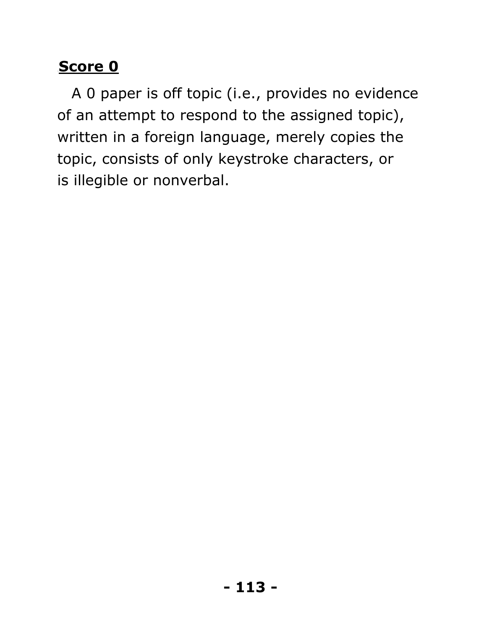A 0 paper is off topic (i.e., provides no evidence of an attempt to respond to the assigned topic), written in a foreign language, merely copies the topic, consists of only keystroke characters, or is illegible or nonverbal.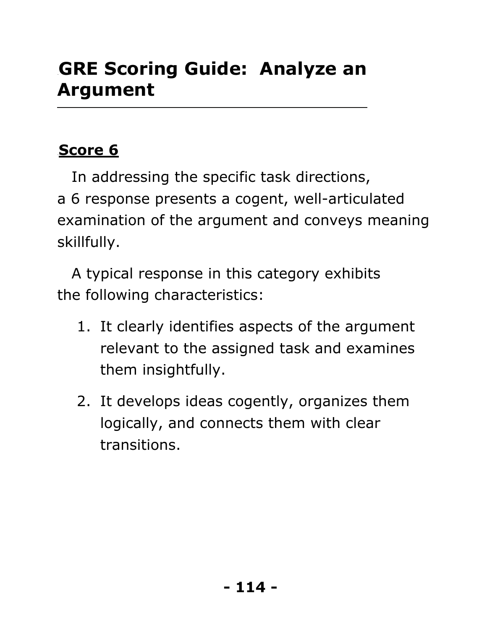## **GRE Scoring Guide: Analyze an Argument**

#### **Score 6**

In addressing the specific task directions, a 6 response presents a cogent, well-articulated examination of the argument and conveys meaning skillfully.

A typical response in this category exhibits the following characteristics:

- 1. It clearly identifies aspects of the argument relevant to the assigned task and examines them insightfully.
- 2. It develops ideas cogently, organizes them logically, and connects them with clear transitions.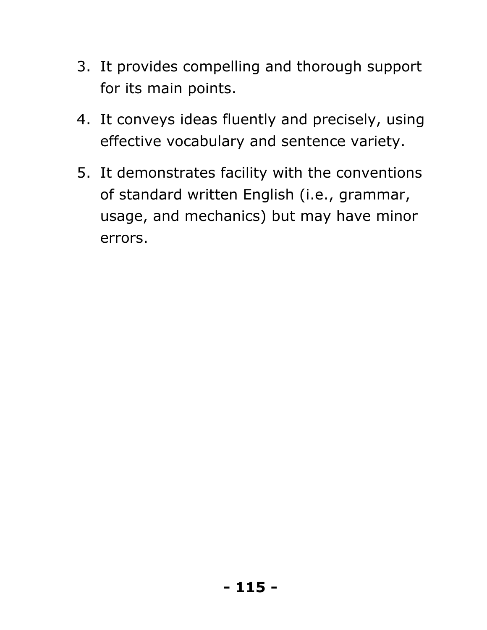- 3. It provides compelling and thorough support for its main points.
- 4. It conveys ideas fluently and precisely, using effective vocabulary and sentence variety.
- 5. It demonstrates facility with the conventions of standard written English (i.e., grammar, usage, and mechanics) but may have minor errors.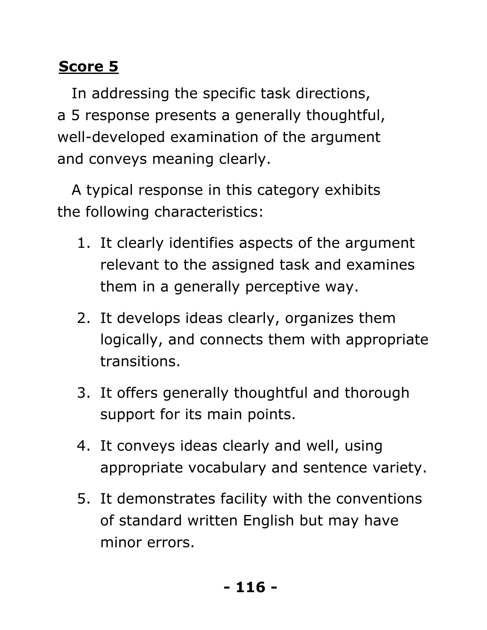In addressing the specific task directions, a 5 response presents a generally thoughtful, well-developed examination of the argument and conveys meaning clearly.

A typical response in this category exhibits the following characteristics:

- 1. It clearly identifies aspects of the argument relevant to the assigned task and examines them in a generally perceptive way.
- 2. It develops ideas clearly, organizes them logically, and connects them with appropriate transitions.
- 3. It offers generally thoughtful and thorough support for its main points.
- 4. It conveys ideas clearly and well, using appropriate vocabulary and sentence variety.
- 5. It demonstrates facility with the conventions of standard written English but may have minor errors.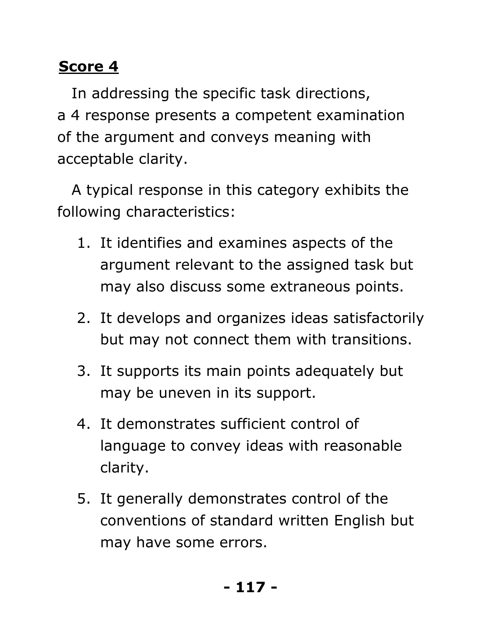In addressing the specific task directions, a 4 response presents a competent examination of the argument and conveys meaning with acceptable clarity.

A typical response in this category exhibits the following characteristics:

- 1. It identifies and examines aspects of the argument relevant to the assigned task but may also discuss some extraneous points.
- 2. It develops and organizes ideas satisfactorily but may not connect them with transitions.
- 3. It supports its main points adequately but may be uneven in its support.
- 4. It demonstrates sufficient control of language to convey ideas with reasonable clarity.
- 5. It generally demonstrates control of the conventions of standard written English but may have some errors.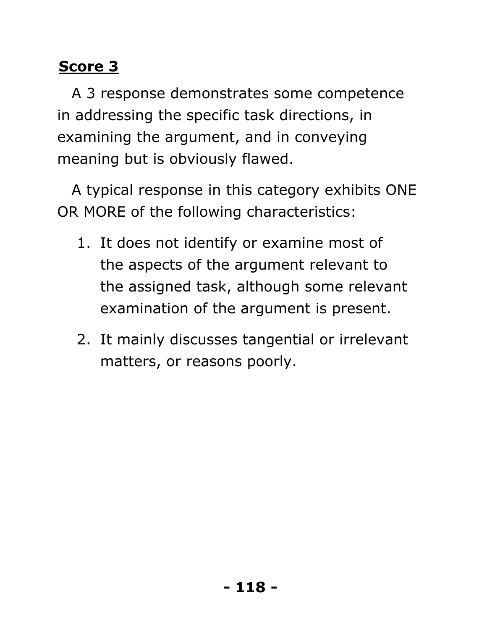A 3 response demonstrates some competence in addressing the specific task directions, in examining the argument, and in conveying meaning but is obviously flawed.

A typical response in this category exhibits ONE OR MORE of the following characteristics:

- 1. It does not identify or examine most of the aspects of the argument relevant to the assigned task, although some relevant examination of the argument is present.
- 2. It mainly discusses tangential or irrelevant matters, or reasons poorly.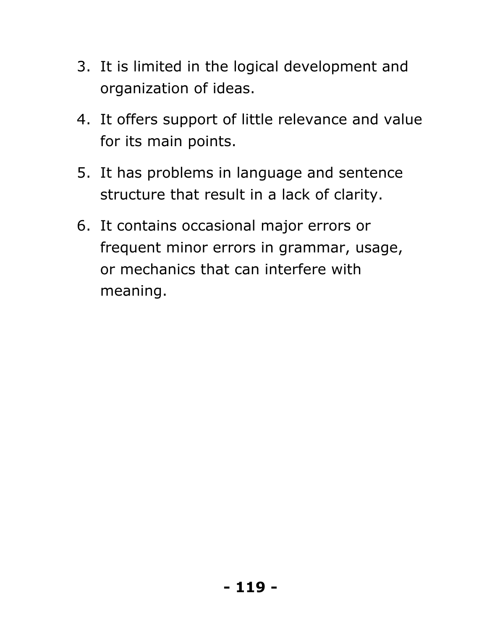- 3. It is limited in the logical development and organization of ideas.
- 4. It offers support of little relevance and value for its main points.
- 5. It has problems in language and sentence structure that result in a lack of clarity.
- 6. It contains occasional major errors or frequent minor errors in grammar, usage, or mechanics that can interfere with meaning.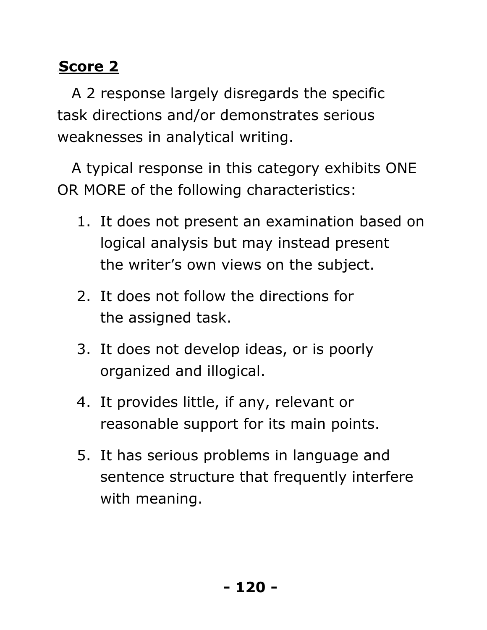A 2 response largely disregards the specific task directions and/or demonstrates serious weaknesses in analytical writing.

A typical response in this category exhibits ONE OR MORE of the following characteristics:

- 1. It does not present an examination based on logical analysis but may instead present the writer's own views on the subject.
- 2. It does not follow the directions for the assigned task.
- 3. It does not develop ideas, or is poorly organized and illogical.
- 4. It provides little, if any, relevant or reasonable support for its main points.
- 5. It has serious problems in language and sentence structure that frequently interfere with meaning.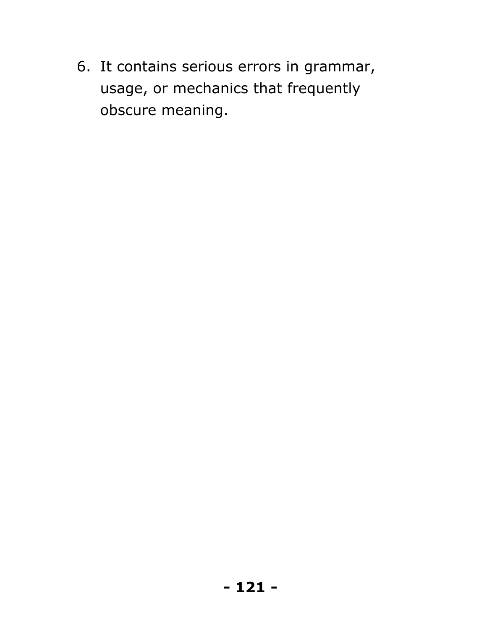6. It contains serious errors in grammar, usage, or mechanics that frequently obscure meaning.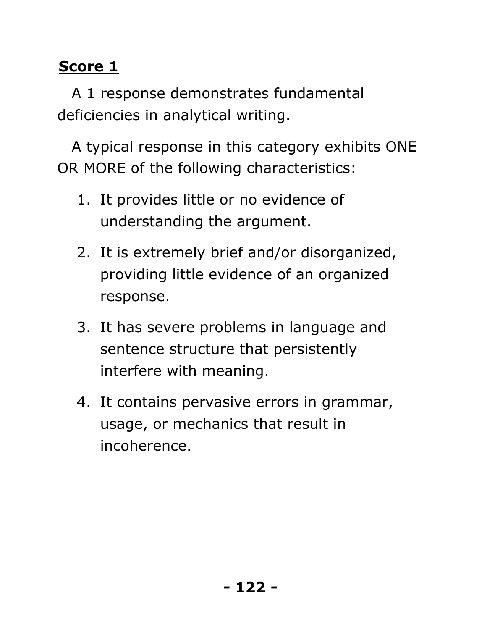A 1 response demonstrates fundamental deficiencies in analytical writing.

A typical response in this category exhibits ONE OR MORE of the following characteristics:

- 1. It provides little or no evidence of understanding the argument.
- 2. It is extremely brief and/or disorganized, providing little evidence of an organized response.
- 3. It has severe problems in language and sentence structure that persistently interfere with meaning.
- 4. It contains pervasive errors in grammar, usage, or mechanics that result in incoherence.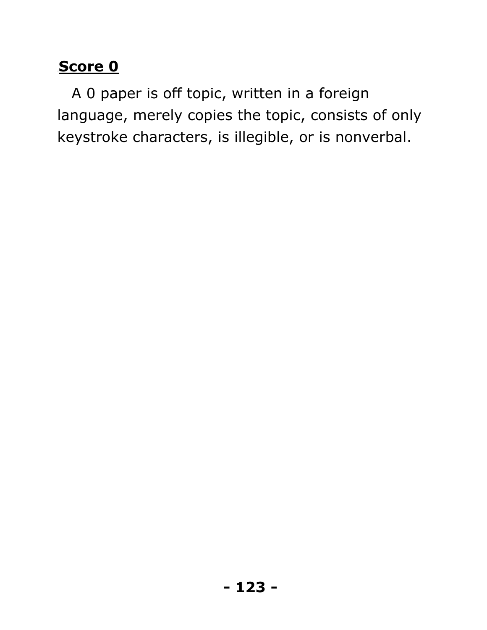A 0 paper is off topic, written in a foreign language, merely copies the topic, consists of only keystroke characters, is illegible, or is nonverbal.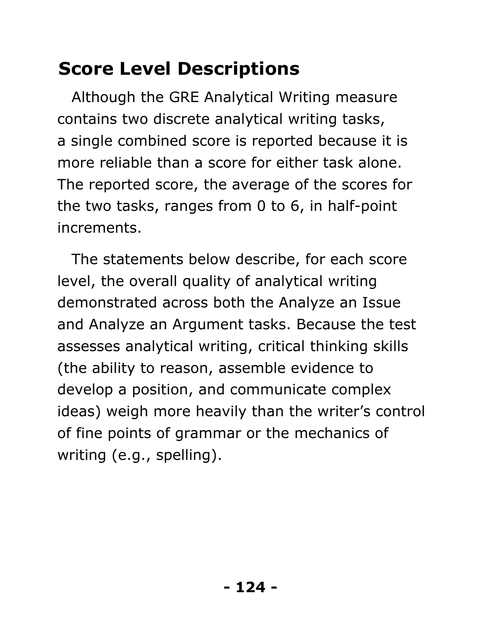# **Score Level Descriptions**

Although the GRE Analytical Writing measure contains two discrete analytical writing tasks, a single combined score is reported because it is more reliable than a score for either task alone. The reported score, the average of the scores for the two tasks, ranges from 0 to 6, in half-point increments.

The statements below describe, for each score level, the overall quality of analytical writing demonstrated across both the Analyze an Issue and Analyze an Argument tasks. Because the test assesses analytical writing, critical thinking skills (the ability to reason, assemble evidence to develop a position, and communicate complex ideas) weigh more heavily than the writer's control of fine points of grammar or the mechanics of writing (e.g., spelling).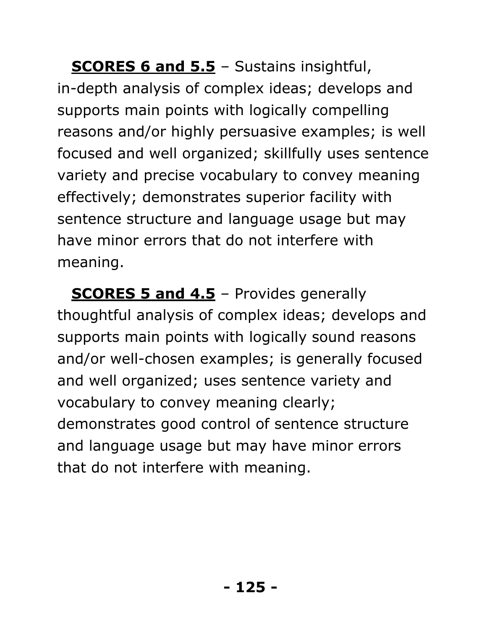**SCORES 6 and 5.5** - Sustains insightful, in-depth analysis of complex ideas; develops and supports main points with logically compelling reasons and/or highly persuasive examples; is well focused and well organized; skillfully uses sentence variety and precise vocabulary to convey meaning effectively; demonstrates superior facility with sentence structure and language usage but may have minor errors that do not interfere with meaning.

**SCORES 5 and 4.5** - Provides generally thoughtful analysis of complex ideas; develops and supports main points with logically sound reasons and/or well-chosen examples; is generally focused and well organized; uses sentence variety and vocabulary to convey meaning clearly; demonstrates good control of sentence structure and language usage but may have minor errors that do not interfere with meaning.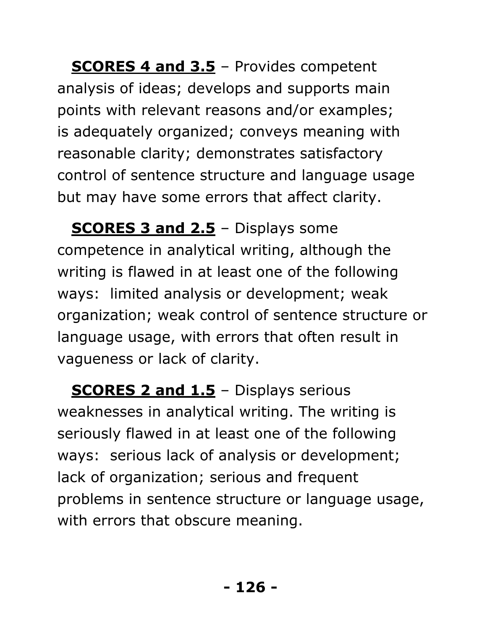**SCORES 4 and 3.5** – Provides competent analysis of ideas; develops and supports main points with relevant reasons and/or examples; is adequately organized; conveys meaning with reasonable clarity; demonstrates satisfactory control of sentence structure and language usage but may have some errors that affect clarity.

**SCORES 3 and 2.5** - Displays some competence in analytical writing, although the writing is flawed in at least one of the following ways: limited analysis or development; weak organization; weak control of sentence structure or language usage, with errors that often result in vagueness or lack of clarity.

**SCORES 2 and 1.5** - Displays serious weaknesses in analytical writing. The writing is seriously flawed in at least one of the following ways: serious lack of analysis or development; lack of organization; serious and frequent problems in sentence structure or language usage, with errors that obscure meaning.